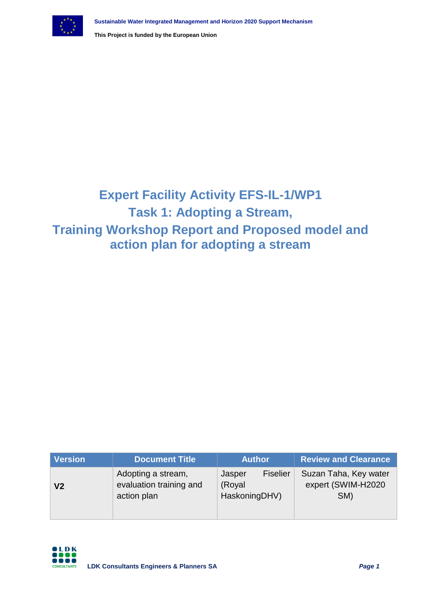

# **Expert Facility Activity EFS-IL-1/WP1 Task 1: Adopting a Stream, Training Workshop Report and Proposed model and action plan for adopting a stream**

| <b>Version</b> | <b>Document Title</b>                                        | <b>Author</b>                                        | <b>Review and Clearance</b>                        |
|----------------|--------------------------------------------------------------|------------------------------------------------------|----------------------------------------------------|
| V <sub>2</sub> | Adopting a stream,<br>evaluation training and<br>action plan | <b>Fiselier</b><br>Jasper<br>(Royal<br>HaskoningDHV) | Suzan Taha, Key water<br>expert (SWIM-H2020<br>SM) |

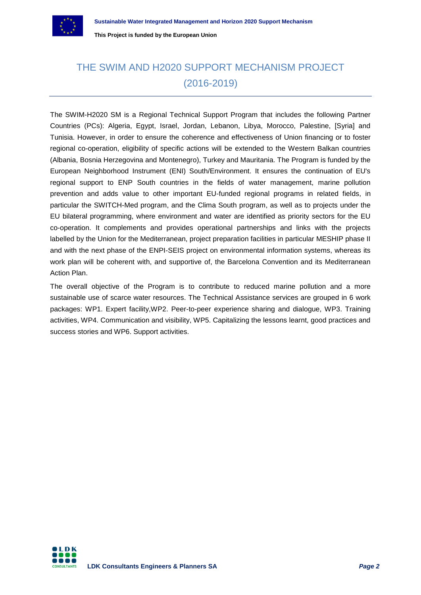

# THE SWIM AND H2020 SUPPORT MECHANISM PROJECT (2016-2019)

The SWIM-H2020 SM is a Regional Technical Support Program that includes the following Partner Countries (PCs): Algeria, Egypt, Israel, Jordan, Lebanon, Libya, Morocco, Palestine, [Syria] and Tunisia. However, in order to ensure the coherence and effectiveness of Union financing or to foster regional co-operation, eligibility of specific actions will be extended to the Western Balkan countries (Albania, Bosnia Herzegovina and Montenegro), Turkey and Mauritania. The Program is funded by the European Neighborhood Instrument (ENI) South/Environment. It ensures the continuation of EU's regional support to ENP South countries in the fields of water management, marine pollution prevention and adds value to other important EU-funded regional programs in related fields, in particular the SWITCH-Med program, and the Clima South program, as well as to projects under the EU bilateral programming, where environment and water are identified as priority sectors for the EU co-operation. It complements and provides operational partnerships and links with the projects labelled by the Union for the Mediterranean, project preparation facilities in particular MESHIP phase II and with the next phase of the ENPI-SEIS project on environmental information systems, whereas its work plan will be coherent with, and supportive of, the Barcelona Convention and its Mediterranean Action Plan.

The overall objective of the Program is to contribute to reduced marine pollution and a more sustainable use of scarce water resources. The Technical Assistance services are grouped in 6 work packages: WP1. Expert facility,WP2. Peer-to-peer experience sharing and dialogue, WP3. Training activities, WP4. Communication and visibility, WP5. Capitalizing the lessons learnt, good practices and success stories and WP6. Support activities.

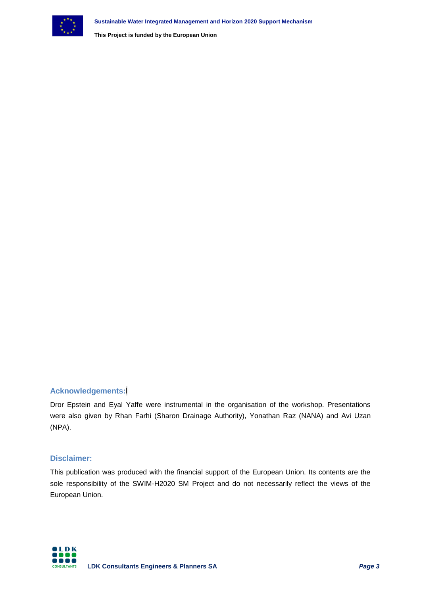

# **Acknowledgements:**l

Dror Epstein and Eyal Yaffe were instrumental in the organisation of the workshop. Presentations were also given by Rhan Farhi (Sharon Drainage Authority), Yonathan Raz (NANA) and Avi Uzan (NPA).

## **Disclaimer:**

This publication was produced with the financial support of the European Union. Its contents are the sole responsibility of the SWIM-H2020 SM Project and do not necessarily reflect the views of the European Union.

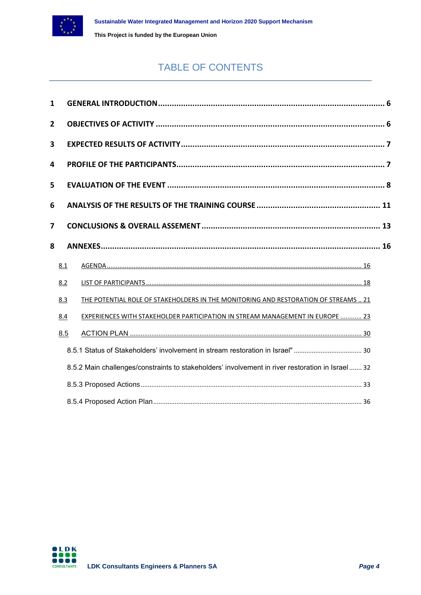

# TABLE OF CONTENTS

| $\mathbf{1}$ |     |                                                                                                  |  |
|--------------|-----|--------------------------------------------------------------------------------------------------|--|
| $\mathbf{2}$ |     |                                                                                                  |  |
| 3            |     |                                                                                                  |  |
| 4            |     |                                                                                                  |  |
| 5            |     |                                                                                                  |  |
| 6            |     |                                                                                                  |  |
| 7            |     |                                                                                                  |  |
| 8            |     |                                                                                                  |  |
|              | 8.1 |                                                                                                  |  |
|              | 8.2 |                                                                                                  |  |
|              | 8.3 | THE POTENTIAL ROLE OF STAKEHOLDERS IN THE MONITORING AND RESTORATION OF STREAMS  21              |  |
|              | 8.4 | <b>EXPERIENCES WITH STAKEHOLDER PARTICIPATION IN STREAM MANAGEMENT IN EUROPE  23</b>             |  |
|              | 8.5 |                                                                                                  |  |
|              |     |                                                                                                  |  |
|              |     | 8.5.2 Main challenges/constraints to stakeholders' involvement in river restoration in Israel 32 |  |
|              |     |                                                                                                  |  |
|              |     |                                                                                                  |  |

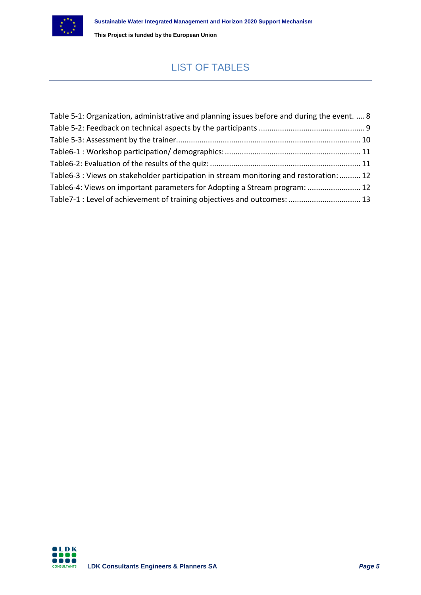

# LIST OF TABLES

| Table 5-1: Organization, administrative and planning issues before and during the event.  8 |  |
|---------------------------------------------------------------------------------------------|--|
|                                                                                             |  |
|                                                                                             |  |
|                                                                                             |  |
|                                                                                             |  |
| Table6-3 : Views on stakeholder participation in stream monitoring and restoration:  12     |  |
| Table6-4: Views on important parameters for Adopting a Stream program:  12                  |  |
| Table7-1 : Level of achievement of training objectives and outcomes:  13                    |  |

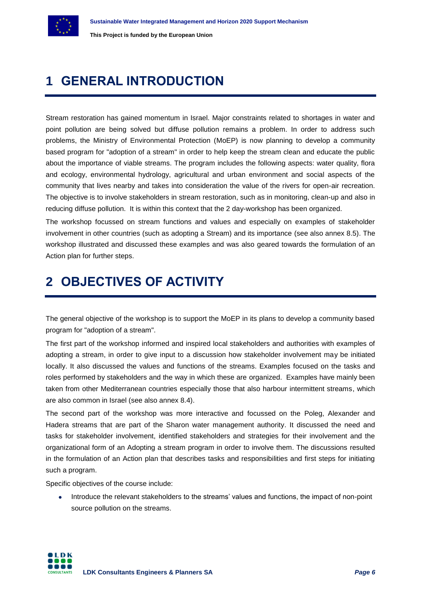

# <span id="page-5-0"></span>**1 GENERAL INTRODUCTION**

Stream restoration has gained momentum in Israel. Major constraints related to shortages in water and point pollution are being solved but diffuse pollution remains a problem. In order to address such problems, the Ministry of Environmental Protection (MoEP) is now planning to develop a community based program for "adoption of a stream" in order to help keep the stream clean and educate the public about the importance of viable streams. The program includes the following aspects: water quality, flora and ecology, environmental hydrology, agricultural and urban environment and social aspects of the community that lives nearby and takes into consideration the value of the rivers for open-air recreation. The objective is to involve stakeholders in stream restoration, such as in monitoring, clean-up and also in reducing diffuse pollution. It is within this context that the 2 day-workshop has been organized.

The workshop focussed on stream functions and values and especially on examples of stakeholder involvement in other countries (such as adopting a Stream) and its importance (see also annex 8.5). The workshop illustrated and discussed these examples and was also geared towards the formulation of an Action plan for further steps.

# <span id="page-5-1"></span>**2 OBJECTIVES OF ACTIVITY**

The general objective of the workshop is to support the MoEP in its plans to develop a community based program for "adoption of a stream".

The first part of the workshop informed and inspired local stakeholders and authorities with examples of adopting a stream, in order to give input to a discussion how stakeholder involvement may be initiated locally. It also discussed the values and functions of the streams. Examples focused on the tasks and roles performed by stakeholders and the way in which these are organized. Examples have mainly been taken from other Mediterranean countries especially those that also harbour intermittent streams, which are also common in Israel (see also annex 8.4).

The second part of the workshop was more interactive and focussed on the Poleg, Alexander and Hadera streams that are part of the Sharon water management authority. It discussed the need and tasks for stakeholder involvement, identified stakeholders and strategies for their involvement and the organizational form of an Adopting a stream program in order to involve them. The discussions resulted in the formulation of an Action plan that describes tasks and responsibilities and first steps for initiating such a program.

Specific objectives of the course include:

• Introduce the relevant stakeholders to the streams' values and functions, the impact of non-point source pollution on the streams.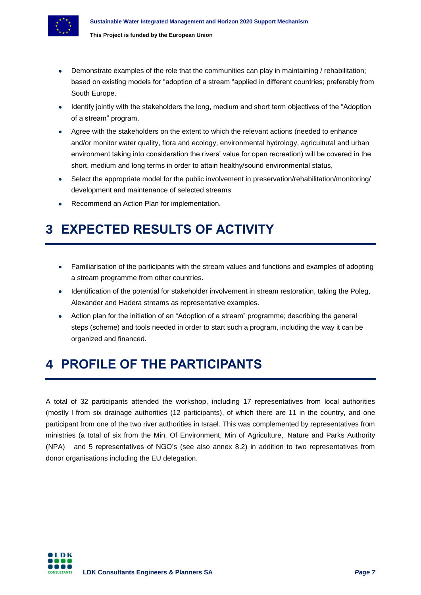

- Demonstrate examples of the role that the communities can play in maintaining / rehabilitation; based on existing models for "adoption of a stream "applied in different countries; preferably from South Europe.
- Identify jointly with the stakeholders the long, medium and short term objectives of the "Adoption of a stream" program.
- Agree with the stakeholders on the extent to which the relevant actions (needed to enhance and/or monitor water quality, flora and ecology, environmental hydrology, agricultural and urban environment taking into consideration the rivers' value for open recreation) will be covered in the short, medium and long terms in order to attain healthy/sound environmental status,
- Select the appropriate model for the public involvement in preservation/rehabilitation/monitoring/ development and maintenance of selected streams
- Recommend an Action Plan for implementation.

# <span id="page-6-0"></span>**3 EXPECTED RESULTS OF ACTIVITY**

- Familiarisation of the participants with the stream values and functions and examples of adopting a stream programme from other countries.
- Identification of the potential for stakeholder involvement in stream restoration, taking the Poleg, Alexander and Hadera streams as representative examples.
- Action plan for the initiation of an "Adoption of a stream" programme; describing the general steps (scheme) and tools needed in order to start such a program, including the way it can be organized and financed.

# <span id="page-6-1"></span>**4 PROFILE OF THE PARTICIPANTS**

A total of 32 participants attended the workshop, including 17 representatives from local authorities (mostly l from six drainage authorities (12 participants), of which there are 11 in the country, and one participant from one of the two river authorities in Israel. This was complemented by representatives from ministries (a total of six from the Min. Of Environment, Min of Agriculture, Nature and Parks Authority (NPA) and 5 representatives of NGO's (see also annex 8.2) in addition to two representatives from donor organisations including the EU delegation.

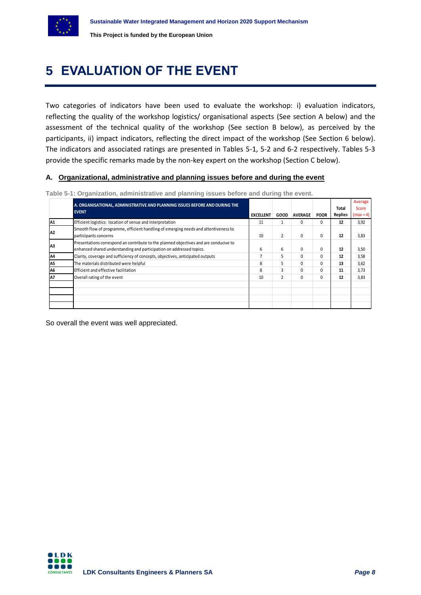

# <span id="page-7-0"></span>**5 EVALUATION OF THE EVENT**

Two categories of indicators have been used to evaluate the workshop: i) evaluation indicators, reflecting the quality of the workshop logistics/ organisational aspects (See section A below) and the assessment of the technical quality of the workshop (See section B below), as perceived by the participants, ii) impact indicators, reflecting the direct impact of the workshop (See Section 6 below). The indicators and associated ratings are presented in Tables 5-1, 5-2 and 6-2 respectively. Tables 5-3 provide the specific remarks made by the non-key expert on the workshop (Section C below).

## **A. Organizational, administrative and planning issues before and during the event**

|                | A. ORGANISATIONAL, ADMINISTRATIVE AND PLANNING ISSUES BEFORE AND DURING THE                                                                                   |                  |                |                |              | Total          | Average<br>Score |
|----------------|---------------------------------------------------------------------------------------------------------------------------------------------------------------|------------------|----------------|----------------|--------------|----------------|------------------|
|                | <b>EVENT</b>                                                                                                                                                  | <b>EXCELLENT</b> | GOOD           | <b>AVERAGE</b> | <b>POOR</b>  | <b>Replies</b> | $(max = 4)$      |
| A1             | Efficient logistics: location of venue and interpretation                                                                                                     | 11               |                | 0              | $\Omega$     | 12             | 3,92             |
| A2             | Smooth flow of programme, efficient handling of emerging needs and attentiveness to<br>participants concerns                                                  | 10               | $\overline{2}$ | $\Omega$       | 0            | 12             | 3,83             |
| A <sub>3</sub> | Presentations correspond an contribute to the planned objectives and are conducive to<br>enhanced shared understanding and participation on addressed topics. | 6                | 6              | $\Omega$       | 0            | 12             | 3,50             |
| A4             | Clarity, coverage and sufficiency of concepts, objectives, anticipated outputs                                                                                |                  | 5              | $\Omega$       | 0            | 12             | 3,58             |
| A5             | The materials distributed were helpful                                                                                                                        | 8                | 5              | $\Omega$       | <sup>0</sup> | 13             | 3,62             |
| A6             | Efficient and effective facilitation                                                                                                                          | 8                | 3              | 0              | 0            | 11             | 3,73             |
| A7             | Overall rating of the event                                                                                                                                   | 10               | $\overline{2}$ | $\Omega$       | <sup>0</sup> | 12             | 3,83             |
|                |                                                                                                                                                               |                  |                |                |              |                |                  |
|                |                                                                                                                                                               |                  |                |                |              |                |                  |
|                |                                                                                                                                                               |                  |                |                |              |                |                  |
|                |                                                                                                                                                               |                  |                |                |              |                |                  |

<span id="page-7-1"></span>**Table 5-1: Organization, administrative and planning issues before and during the event.**

So overall the event was well appreciated.

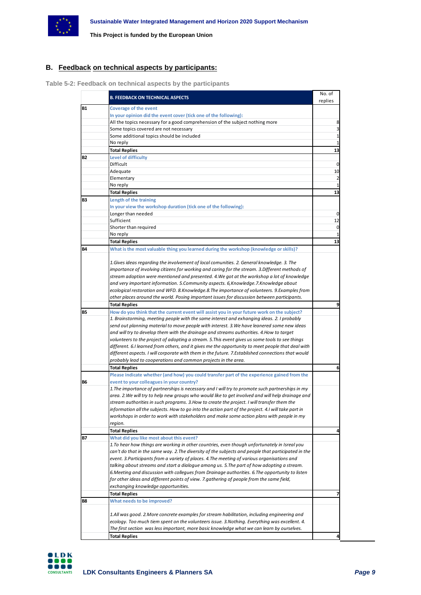

# **B. Feedback on technical aspects by participants:**

<span id="page-8-0"></span>**Table 5-2: Feedback on technical aspects by the participants**

|           | <b>B. FEEDBACK ON TECHNICAL ASPECTS</b>                                                             | No. of                  |
|-----------|-----------------------------------------------------------------------------------------------------|-------------------------|
| <b>B1</b> |                                                                                                     | replies                 |
|           | <b>Coverage of the event</b>                                                                        |                         |
|           | In your opinion did the event cover (tick one of the following):                                    |                         |
|           | All the topics necessary for a good comprehension of the subject nothing more                       | 8                       |
|           | Some topics covered are not necessary                                                               | 3                       |
|           | Some additional topics should be included                                                           | 1                       |
|           | No reply                                                                                            |                         |
|           | <b>Total Replies</b>                                                                                | 13                      |
| <b>B2</b> | Level of difficulty                                                                                 |                         |
|           | Difficult                                                                                           | 0                       |
|           | Adequate                                                                                            | 10                      |
|           | Elementary                                                                                          | $\overline{\mathbf{c}}$ |
|           | No reply                                                                                            |                         |
|           | <b>Total Replies</b>                                                                                | 13                      |
| B3        | Length of the training                                                                              |                         |
|           | In your view the workshop duration (tick one of the following):                                     |                         |
|           | Longer than needed                                                                                  | 0                       |
|           | Sufficient                                                                                          | 12                      |
|           | Shorter than required                                                                               | 0                       |
|           | No reply                                                                                            | 1                       |
|           | <b>Total Replies</b>                                                                                | 13                      |
| <b>B4</b> | What is the most valuable thing you learned during the workshop (knowledge or skills)?              |                         |
|           |                                                                                                     |                         |
|           | 1. Gives ideas regarding the involvement of local comunities. 2. General knowledge. 3. The          |                         |
|           |                                                                                                     |                         |
|           | importance of involving citizens for working and caring for the stream. 3. Different methods of     |                         |
|           | stream adoption were mentioned and presented. 4. We got at the workshop a lot of knowledge          |                         |
|           | and very important information. 5.Community aspects. 6,Knowledge.7.Knowledge about                  |                         |
|           | ecological restoration and WFD. 8.Knowledge.8.The importance of volunteers. 9.Examples from         |                         |
|           | other places around the world. Posing important issues for discussion between participants.         |                         |
|           | <b>Total Replies</b>                                                                                |                         |
| <b>B5</b> | How do you think that the current event will assist you in your future work on the subject?         |                         |
|           | 1. Brainstorming, meeting people with the same interest and exhanging ideas. 2. I probably          |                         |
|           | send out planning material to move people with interest. 3. We have leanered some new ideas         |                         |
|           | and will try to develop them with the drainage and streams authorities. 4. How to target            |                         |
|           | volunteers to the project of adopting a stream. 5. This event gives us some tools to see things     |                         |
|           | different. 6.I learned from others, and it gives me the opportunity to meet people that deal with   |                         |
|           | different aspects. I will corporate with them in the future. 7.Established connections that would   |                         |
|           | probably lead to cooperations and common projects in the area.                                      |                         |
|           | <b>Total Replies</b>                                                                                | 6                       |
|           | Please indicate whether (and how) you could transfer part of the experience gained from the         |                         |
| В6        | event to your colleagues in your country?                                                           |                         |
|           | 1. The importance of partnerships is necessary and I will try to promote such partnerships in my    |                         |
|           | area. 2. We will try to help new groups who would like to get involved and will help drainage and   |                         |
|           | stream authorities in such programs. 3. How to create the project. I will transfer them the         |                         |
|           | information all the subjects. How to go into the action part of the project. 4.I will take part in  |                         |
|           | workshops in order to work with stakeholders and make some action plans with people in my           |                         |
|           | region.                                                                                             |                         |
|           |                                                                                                     |                         |
|           | <b>Total Replies</b>                                                                                | 4                       |
| <b>B7</b> | What did you like most about this event?                                                            |                         |
|           | 1. To hear how things are working in other countries, even though unfortunately in Isreal you       |                         |
|           | can't do that in the same way. 2. The diversity of the subjects and people that participated in the |                         |
|           | event. 3. Participants from a variety of places. 4. The meeting of various organisations and        |                         |
|           | talking about streams and start a dialogue among us. 5. The part of how adopting a stream.          |                         |
|           | 6. Meeting and discussion with collegues from Drainage authorities. 6. The opportunity to listen    |                         |
|           | for other ideas and different points of view. 7.gathering of people from the same field,            |                         |
|           | exchanging knowledge opportunities.                                                                 |                         |
|           | <b>Total Replies</b>                                                                                | 7                       |
| B8        | What needs to be improved?                                                                          |                         |
|           |                                                                                                     |                         |
|           | 1.All was good. 2.More concrete examples for stream habilitation, including engineering and         |                         |
|           | ecology. Too much tiem spent on the volunteers issue. 3. Nothing. Everything was excellent. 4.      |                         |
|           | The first section was less important, more basic knowledge what we can learn by ourselves.          |                         |
|           | <b>Total Replies</b>                                                                                | Δ                       |

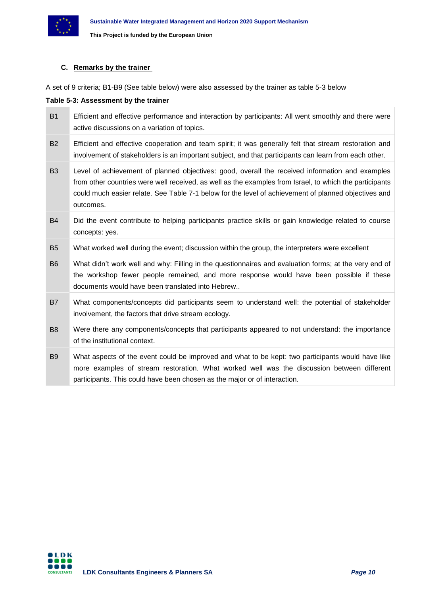

## **C. Remarks by the trainer**

A set of 9 criteria; B1-B9 (See table below) were also assessed by the trainer as table 5-3 below

### <span id="page-9-0"></span>**Table 5-3: Assessment by the trainer**

| <b>B1</b>      | Efficient and effective performance and interaction by participants: All went smoothly and there were<br>active discussions on a variation of topics.                                                                                                                                                                           |
|----------------|---------------------------------------------------------------------------------------------------------------------------------------------------------------------------------------------------------------------------------------------------------------------------------------------------------------------------------|
| <b>B2</b>      | Efficient and effective cooperation and team spirit; it was generally felt that stream restoration and<br>involvement of stakeholders is an important subject, and that participants can learn from each other.                                                                                                                 |
| B <sub>3</sub> | Level of achievement of planned objectives: good, overall the received information and examples<br>from other countries were well received, as well as the examples from Israel, to which the participants<br>could much easier relate. See Table 7-1 below for the level of achievement of planned objectives and<br>outcomes. |
| <b>B4</b>      | Did the event contribute to helping participants practice skills or gain knowledge related to course<br>concepts: yes.                                                                                                                                                                                                          |
| <b>B5</b>      | What worked well during the event; discussion within the group, the interpreters were excellent                                                                                                                                                                                                                                 |
| <b>B6</b>      | What didn't work well and why: Filling in the questionnaires and evaluation forms; at the very end of<br>the workshop fewer people remained, and more response would have been possible if these<br>documents would have been translated into Hebrew                                                                            |
| <b>B7</b>      | What components/concepts did participants seem to understand well: the potential of stakeholder<br>involvement, the factors that drive stream ecology.                                                                                                                                                                          |
| B <sub>8</sub> | Were there any components/concepts that participants appeared to not understand: the importance<br>of the institutional context.                                                                                                                                                                                                |
| B <sub>9</sub> | What aspects of the event could be improved and what to be kept: two participants would have like<br>more examples of stream restoration. What worked well was the discussion between different<br>participants. This could have been chosen as the major or of interaction.                                                    |

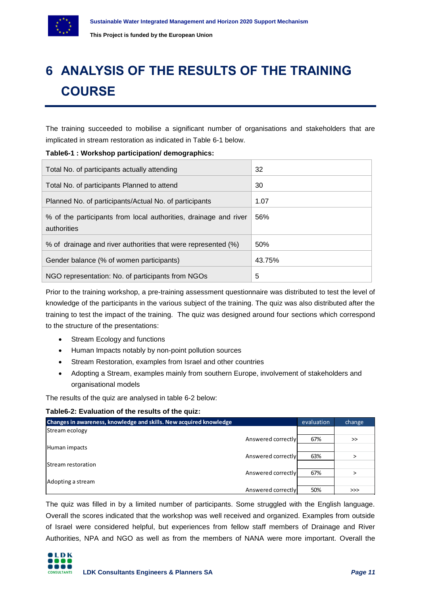

# <span id="page-10-0"></span>**6 ANALYSIS OF THE RESULTS OF THE TRAINING COURSE**

The training succeeded to mobilise a significant number of organisations and stakeholders that are implicated in stream restoration as indicated in Table 6-1 below.

## <span id="page-10-1"></span>**Table6-1 : Workshop participation/ demographics:**

| Total No. of participants actually attending                                    | 32     |
|---------------------------------------------------------------------------------|--------|
| Total No. of participants Planned to attend                                     | 30     |
| Planned No. of participants/Actual No. of participants                          | 1.07   |
| % of the participants from local authorities, drainage and river<br>authorities | 56%    |
| % of drainage and river authorities that were represented (%)                   | 50%    |
| Gender balance (% of women participants)                                        | 43.75% |
| NGO representation: No. of participants from NGOs                               | 5      |

Prior to the training workshop, a pre-training assessment questionnaire was distributed to test the level of knowledge of the participants in the various subject of the training. The quiz was also distributed after the training to test the impact of the training. The quiz was designed around four sections which correspond to the structure of the presentations:

- Stream Ecology and functions
- Human Impacts notably by non-point pollution sources
- Stream Restoration, examples from Israel and other countries
- Adopting a Stream, examples mainly from southern Europe, involvement of stakeholders and organisational models

The results of the quiz are analysed in table 6-2 below:

## <span id="page-10-2"></span>**Table6-2: Evaluation of the results of the quiz:**

| Changes in awareness, knowledge and skills. New acquired knowledge | evaluation | change |
|--------------------------------------------------------------------|------------|--------|
| Stream ecology                                                     |            |        |
| Answered correctly                                                 | 67%        | >>     |
| Human impacts                                                      |            |        |
| Answered correctly                                                 | 63%        | ↘      |
| <b>IStream restoration</b>                                         |            |        |
| Answered correctly                                                 | 67%        |        |
| Adopting a stream                                                  |            |        |
| Answered correctly                                                 | 50%        | >>>    |

The quiz was filled in by a limited number of participants. Some struggled with the English language. Overall the scores indicated that the workshop was well received and organized. Examples from outside of Israel were considered helpful, but experiences from fellow staff members of Drainage and River Authorities, NPA and NGO as well as from the members of NANA were more important. Overall the

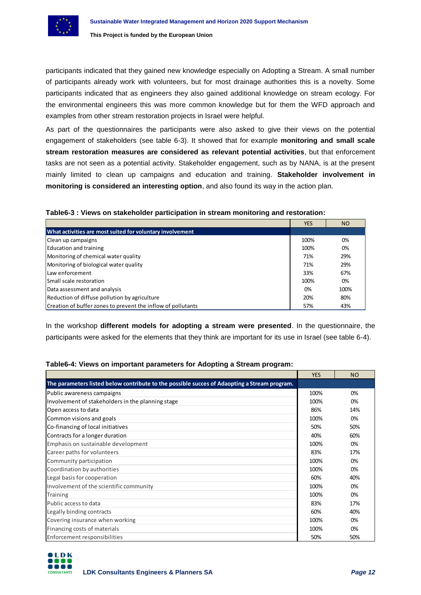participants indicated that they gained new knowledge especially on Adopting a Stream. A small number of participants already work with volunteers, but for most drainage authorities this is a novelty. Some participants indicated that as engineers they also gained additional knowledge on stream ecology. For the environmental engineers this was more common knowledge but for them the WFD approach and examples from other stream restoration projects in Israel were helpful.

As part of the questionnaires the participants were also asked to give their views on the potential engagement of stakeholders (see table 6-3). It showed that for example **monitoring and small scale stream restoration measures are considered as relevant potential activities**, but that enforcement tasks are not seen as a potential activity. Stakeholder engagement, such as by NANA, is at the present mainly limited to clean up campaigns and education and training. **Stakeholder involvement in monitoring is considered an interesting option**, and also found its way in the action plan.

<span id="page-11-0"></span>

| Table6-3 : Views on stakeholder participation in stream monitoring and restoration: |  |
|-------------------------------------------------------------------------------------|--|
|                                                                                     |  |

|                                                              | <b>YES</b> | <b>NO</b> |
|--------------------------------------------------------------|------------|-----------|
| What activities are most suited for voluntary involvement    |            |           |
| Clean up campaigns                                           | 100%       | 0%        |
| Education and training                                       | 100%       | 0%        |
| Monitoring of chemical water quality                         | 71%        | 29%       |
| Monitoring of biological water quality                       | 71%        | 29%       |
| Law enforcement                                              | 33%        | 67%       |
| <b>Small scale restoration</b>                               | 100%       | 0%        |
| Data assessment and analysis                                 | 0%         | 100%      |
| Reduction of diffuse pollution by agriculture                | 20%        | 80%       |
| Creation of buffer zones to prevent the inflow of pollutants | 57%        | 43%       |

In the workshop **different models for adopting a stream were presented**. In the questionnaire, the participants were asked for the elements that they think are important for its use in Israel (see table 6-4).

## **Table6-4: Views on important parameters for Adopting a Stream program:**

<span id="page-11-1"></span>

| participatities were denoted for the elemente that they think are important for its doesn't local (over table $\sigma \to \mu$ |            |           |
|--------------------------------------------------------------------------------------------------------------------------------|------------|-----------|
| Table6-4: Views on important parameters for Adopting a Stream program:                                                         |            |           |
|                                                                                                                                | <b>YES</b> | <b>NO</b> |
| The parameters listed below contribute to the possible succes of Adaopting a Stream program.                                   |            |           |
| Public awareness campaigns                                                                                                     | 100%       | 0%        |
| Involvement of stakeholders in the planning stage                                                                              | 100%       | 0%        |
| Open access to data                                                                                                            | 86%        | 14%       |
| Common visions and goals                                                                                                       | 100%       | 0%        |
| Co-financing of local initiatives                                                                                              | 50%        | 50%       |
| Contracts for a longer duration                                                                                                | 40%        | 60%       |
| Emphasis on sustainable development                                                                                            | 100%       | 0%        |
| Career paths for volunteers                                                                                                    | 83%        | 17%       |
| Community participation                                                                                                        | 100%       | 0%        |
| Coordination by authorities                                                                                                    | 100%       | 0%        |
| Legal basis for cooperation                                                                                                    | 60%        | 40%       |
| Involvement of the scientific community                                                                                        | 100%       | 0%        |
| Training                                                                                                                       | 100%       | 0%        |
| Public access to data                                                                                                          | 83%        | 17%       |
| Legally binding contracts                                                                                                      | 60%        | 40%       |
| Covering insurance when working                                                                                                | 100%       | 0%        |
| Financing costs of materials                                                                                                   | 100%       | 0%        |
| Enforcement responsibilities                                                                                                   | 50%        | 50%       |

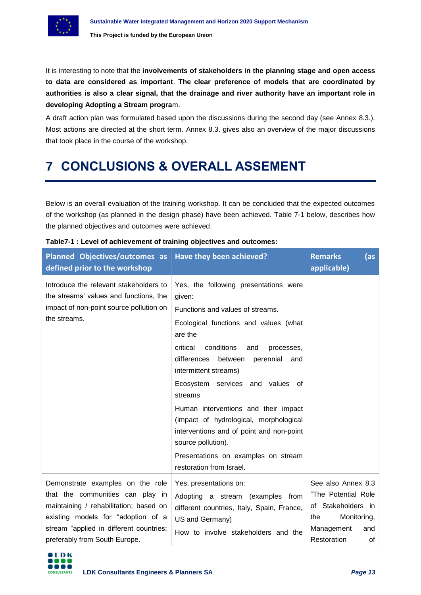It is interesting to note that the **involvements of stakeholders in the planning stage and open access to data are considered as important**. **The clear preference of models that are coordinated by authorities is also a clear signal, that the drainage and river authority have an important role in developing Adopting a Stream progra**m.

A draft action plan was formulated based upon the discussions during the second day (see Annex 8.3.). Most actions are directed at the short term. Annex 8.3. gives also an overview of the major discussions that took place in the course of the workshop.

# <span id="page-12-0"></span>**7 CONCLUSIONS & OVERALL ASSEMENT**

Below is an overall evaluation of the training workshop. It can be concluded that the expected outcomes of the workshop (as planned in the design phase) have been achieved. Table 7-1 below, describes how the planned objectives and outcomes were achieved.

| Planned Objectives/outcomes as<br>defined prior to the workshop                                                                                                                                                                  | Have they been achieved?                                                                                                                                                                                                                                                                                                                                                                                                                                                                                                            | <b>Remarks</b><br>(as<br>applicable)                                                                                            |
|----------------------------------------------------------------------------------------------------------------------------------------------------------------------------------------------------------------------------------|-------------------------------------------------------------------------------------------------------------------------------------------------------------------------------------------------------------------------------------------------------------------------------------------------------------------------------------------------------------------------------------------------------------------------------------------------------------------------------------------------------------------------------------|---------------------------------------------------------------------------------------------------------------------------------|
| Introduce the relevant stakeholders to<br>the streams' values and functions, the<br>impact of non-point source pollution on<br>the streams.                                                                                      | Yes, the following presentations were<br>given:<br>Functions and values of streams.<br>Ecological functions and values (what<br>are the<br>critical<br>conditions<br>and<br>processes,<br>differences<br>perennial<br>between<br>and<br>intermittent streams)<br>Ecosystem services and values of<br>streams<br>Human interventions and their impact<br>(impact of hydrological, morphological<br>interventions and of point and non-point<br>source pollution).<br>Presentations on examples on stream<br>restoration from Israel. |                                                                                                                                 |
| Demonstrate examples on the role<br>that the communities can play in<br>maintaining / rehabilitation; based on<br>existing models for "adoption of a<br>stream "applied in different countries;<br>preferably from South Europe. | Yes, presentations on:<br>Adopting a stream (examples<br>from<br>different countries, Italy, Spain, France,<br>US and Germany)<br>How to involve stakeholders and the                                                                                                                                                                                                                                                                                                                                                               | See also Annex 8.3<br>"The Potential Role<br>of Stakeholders in<br>Monitoring,<br>the<br>Management<br>and<br>Restoration<br>of |

# <span id="page-12-1"></span>**Table7-1 : Level of achievement of training objectives and outcomes:**

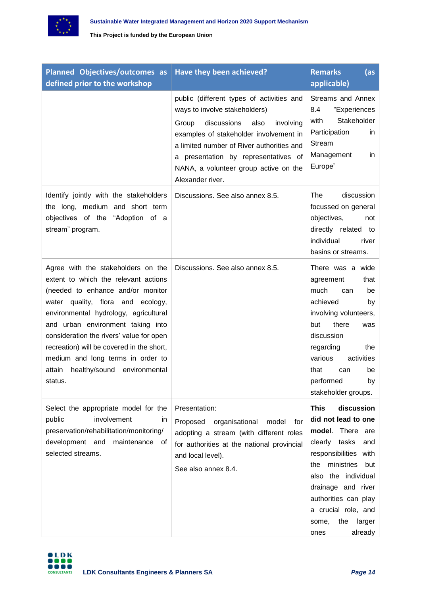

| Planned Objectives/outcomes as<br>defined prior to the workshop                                                                                                                                                                                                                                                                                                                                                         | Have they been achieved?                                                                                                                                                                                                                                                                                            | <b>Remarks</b><br>(as<br>applicable)                                                                                                                                                                                                                                                       |
|-------------------------------------------------------------------------------------------------------------------------------------------------------------------------------------------------------------------------------------------------------------------------------------------------------------------------------------------------------------------------------------------------------------------------|---------------------------------------------------------------------------------------------------------------------------------------------------------------------------------------------------------------------------------------------------------------------------------------------------------------------|--------------------------------------------------------------------------------------------------------------------------------------------------------------------------------------------------------------------------------------------------------------------------------------------|
|                                                                                                                                                                                                                                                                                                                                                                                                                         | public (different types of activities and<br>ways to involve stakeholders)<br>discussions<br>also<br>involving<br>Group<br>examples of stakeholder involvement in<br>a limited number of River authorities and<br>a presentation by representatives of<br>NANA, a volunteer group active on the<br>Alexander river. | Streams and Annex<br>"Experiences<br>8.4<br>Stakeholder<br>with<br>Participation<br>in<br>Stream<br>Management<br>in<br>Europe"                                                                                                                                                            |
| Identify jointly with the stakeholders<br>the long, medium and short term<br>objectives of the "Adoption of a<br>stream" program.                                                                                                                                                                                                                                                                                       | Discussions. See also annex 8.5.                                                                                                                                                                                                                                                                                    | <b>The</b><br>discussion<br>focussed on general<br>objectives,<br>not<br>directly related<br>to<br>individual<br>river<br>basins or streams.                                                                                                                                               |
| Agree with the stakeholders on the<br>extent to which the relevant actions<br>(needed to enhance and/or monitor<br>water quality, flora and ecology,<br>environmental hydrology, agricultural<br>and urban environment taking into<br>consideration the rivers' value for open<br>recreation) will be covered in the short,<br>medium and long terms in order to<br>healthy/sound<br>attain<br>environmental<br>status. | Discussions. See also annex 8.5.                                                                                                                                                                                                                                                                                    | There was a wide<br>that<br>agreement<br>much<br>be<br>can<br>achieved<br>by<br>involving volunteers,<br>there<br>but<br>was<br>discussion<br>regarding<br>the<br>activities<br>various<br>that<br>can<br>be<br>performed<br>by<br>stakeholder groups.                                     |
| Select the appropriate model for the<br>involvement<br>public<br>in.<br>preservation/rehabilitation/monitoring/<br>development and<br>maintenance<br>0t<br>selected streams.                                                                                                                                                                                                                                            | Presentation:<br>Proposed organisational<br>model<br>for<br>adopting a stream (with different roles<br>for authorities at the national provincial<br>and local level).<br>See also annex 8.4.                                                                                                                       | <b>This</b><br>discussion<br>did not lead to one<br>model. There are<br>clearly tasks<br>and<br>responsibilities with<br>ministries<br>but<br>the<br>also the individual<br>drainage and river<br>authorities can play<br>a crucial role, and<br>larger<br>some,<br>the<br>already<br>ones |

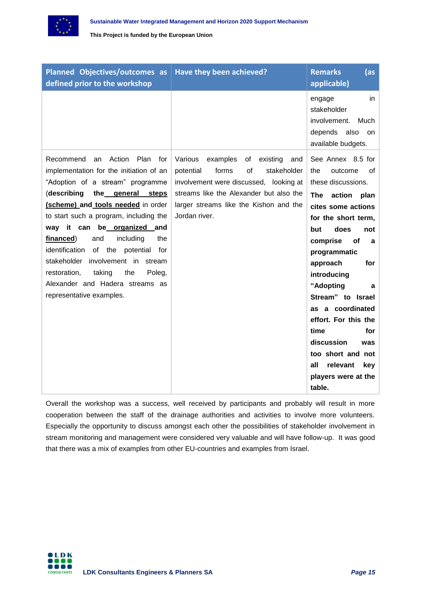

| Planned Objectives/outcomes as<br>defined prior to the workshop                                                                                                                                                                                                                                                                                                                                                                                                                                                            | Have they been achieved?                                                                                                                                                                                                                | <b>Remarks</b><br>(as<br>applicable)                                                                                                                                                                                                                                                                                                                                                                                                        |
|----------------------------------------------------------------------------------------------------------------------------------------------------------------------------------------------------------------------------------------------------------------------------------------------------------------------------------------------------------------------------------------------------------------------------------------------------------------------------------------------------------------------------|-----------------------------------------------------------------------------------------------------------------------------------------------------------------------------------------------------------------------------------------|---------------------------------------------------------------------------------------------------------------------------------------------------------------------------------------------------------------------------------------------------------------------------------------------------------------------------------------------------------------------------------------------------------------------------------------------|
|                                                                                                                                                                                                                                                                                                                                                                                                                                                                                                                            |                                                                                                                                                                                                                                         | engage<br>in.<br>stakeholder<br>involvement.<br>Much<br>depends<br>also<br>on<br>available budgets.                                                                                                                                                                                                                                                                                                                                         |
| Action<br>Plan<br>Recommend<br>for<br>an<br>implementation for the initiation of an<br>"Adoption of a stream" programme<br>(describing<br>the general steps<br>(scheme) and tools needed in order<br>to start such a program, including the<br>way it can be organized and<br>financed)<br>and<br>including<br>the<br>identification<br>the<br>of<br>potential<br>for<br>involvement in<br>stakeholder<br>stream<br>the<br>restoration,<br>taking<br>Poleg,<br>Alexander and Hadera streams as<br>representative examples. | Various<br>examples<br>of<br>existing<br>and<br>of<br>potential<br>forms<br>stakeholder<br>involvement were discussed, looking at<br>streams like the Alexander but also the<br>larger streams like the Kishon and the<br>Jordan river. | See Annex 8.5 for<br>outcome<br>of<br>the<br>these discussions.<br>action<br>The<br>plan<br>cites some actions<br>for the short term,<br>does<br>but<br>not<br>comprise<br>οf<br>a<br>programmatic<br>approach<br>for<br>introducing<br>"Adopting<br>a<br>Stream" to Israel<br>as a coordinated<br>effort. For this the<br>time<br>for<br>discussion<br>was<br>too short and not<br>all<br>relevant<br>key<br>players were at the<br>table. |

Overall the workshop was a success, well received by participants and probably will result in more cooperation between the staff of the drainage authorities and activities to involve more volunteers. Especially the opportunity to discuss amongst each other the possibilities of stakeholder involvement in stream monitoring and management were considered very valuable and will have follow-up. It was good that there was a mix of examples from other EU-countries and examples from Israel.

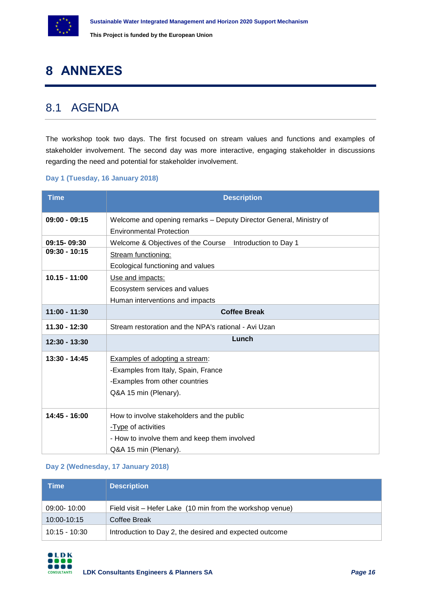

# <span id="page-15-0"></span>**8 ANNEXES**

# <span id="page-15-1"></span>8.1 AGENDA

The workshop took two days. The first focused on stream values and functions and examples of stakeholder involvement. The second day was more interactive, engaging stakeholder in discussions regarding the need and potential for stakeholder involvement.

## **Day 1 (Tuesday, 16 January 2018)**

| <b>Time</b>     | <b>Description</b>                                                                                    |  |  |  |  |  |  |
|-----------------|-------------------------------------------------------------------------------------------------------|--|--|--|--|--|--|
| $09:00 - 09:15$ | Welcome and opening remarks - Deputy Director General, Ministry of<br><b>Environmental Protection</b> |  |  |  |  |  |  |
| 09:15-09:30     | Welcome & Objectives of the Course Introduction to Day 1                                              |  |  |  |  |  |  |
| $09:30 - 10:15$ | <b>Stream functioning:</b>                                                                            |  |  |  |  |  |  |
|                 | Ecological functioning and values                                                                     |  |  |  |  |  |  |
| $10.15 - 11:00$ | Use and impacts:                                                                                      |  |  |  |  |  |  |
|                 | Ecosystem services and values                                                                         |  |  |  |  |  |  |
|                 | Human interventions and impacts                                                                       |  |  |  |  |  |  |
| $11:00 - 11:30$ | <b>Coffee Break</b>                                                                                   |  |  |  |  |  |  |
| $11.30 - 12:30$ | Stream restoration and the NPA's rational - Avi Uzan                                                  |  |  |  |  |  |  |
| $12:30 - 13:30$ | Lunch                                                                                                 |  |  |  |  |  |  |
| 13:30 - 14:45   | Examples of adopting a stream:                                                                        |  |  |  |  |  |  |
|                 | -Examples from Italy, Spain, France                                                                   |  |  |  |  |  |  |
|                 | -Examples from other countries                                                                        |  |  |  |  |  |  |
|                 | Q&A 15 min (Plenary).                                                                                 |  |  |  |  |  |  |
| 14:45 - 16:00   | How to involve stakeholders and the public                                                            |  |  |  |  |  |  |
|                 | -Type of activities                                                                                   |  |  |  |  |  |  |
|                 | - How to involve them and keep them involved                                                          |  |  |  |  |  |  |
|                 | Q&A 15 min (Plenary).                                                                                 |  |  |  |  |  |  |

## **Day 2 (Wednesday, 17 January 2018)**

| <b>Time</b>     | <b>Description</b>                                        |
|-----------------|-----------------------------------------------------------|
| 09:00-10:00     | Field visit – Hefer Lake (10 min from the workshop venue) |
| 10:00-10:15     | Coffee Break                                              |
| $10:15 - 10:30$ | Introduction to Day 2, the desired and expected outcome   |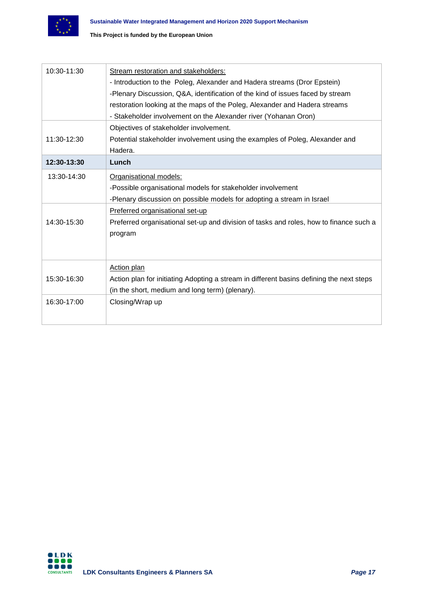

| 10:30-11:30 | Stream restoration and stakeholders:                                                     |
|-------------|------------------------------------------------------------------------------------------|
|             | - Introduction to the Poleg, Alexander and Hadera streams (Dror Epstein)                 |
|             | -Plenary Discussion, Q&A, identification of the kind of issues faced by stream           |
|             | restoration looking at the maps of the Poleg, Alexander and Hadera streams               |
|             | - Stakeholder involvement on the Alexander river (Yohanan Oron)                          |
|             | Objectives of stakeholder involvement.                                                   |
| 11:30-12:30 | Potential stakeholder involvement using the examples of Poleg, Alexander and             |
|             | Hadera.                                                                                  |
| 12:30-13:30 | Lunch                                                                                    |
| 13:30-14:30 | Organisational models:                                                                   |
|             | -Possible organisational models for stakeholder involvement                              |
|             | -Plenary discussion on possible models for adopting a stream in Israel                   |
|             | Preferred organisational set-up                                                          |
| 14:30-15:30 | Preferred organisational set-up and division of tasks and roles, how to finance such a   |
|             | program                                                                                  |
|             |                                                                                          |
|             |                                                                                          |
|             | Action plan                                                                              |
| 15:30-16:30 | Action plan for initiating Adopting a stream in different basins defining the next steps |
|             | (in the short, medium and long term) (plenary).                                          |
| 16:30-17:00 | Closing/Wrap up                                                                          |
|             |                                                                                          |
|             |                                                                                          |

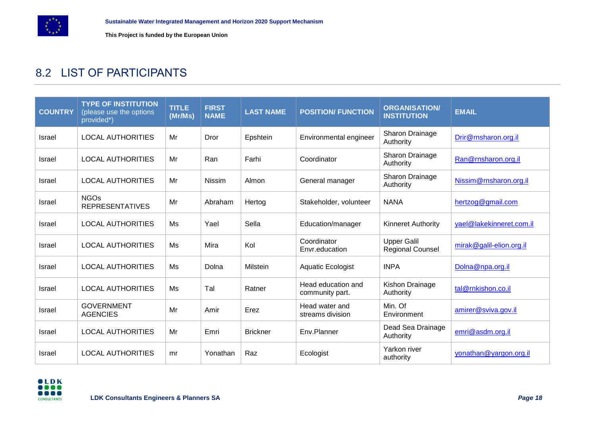

# 8.2 LIST OF PARTICIPANTS

<span id="page-17-0"></span>

| <b>COUNTRY</b> | <b>TYPE OF INSTITUTION</b><br>(please use the options<br>provided*) | <b>TITLE</b><br>(Mr/Ms) | <b>FIRST</b><br><b>NAME</b> | <b>LAST NAME</b> | <b>POSITION/ FUNCTION</b>             | <b>ORGANISATION/</b><br><b>INSTITUTION</b>    | <b>EMAIL</b>             |
|----------------|---------------------------------------------------------------------|-------------------------|-----------------------------|------------------|---------------------------------------|-----------------------------------------------|--------------------------|
| Israel         | <b>LOCAL AUTHORITIES</b>                                            | Mr                      | Dror                        | Epshtein         | Environmental engineer                | Sharon Drainage<br>Authority                  | Drir@rnsharon.org.il     |
| Israel         | <b>LOCAL AUTHORITIES</b>                                            | Mr                      | Ran                         | Farhi            | Coordinator                           | Sharon Drainage<br>Authority                  | Ran@rnsharon.org.il      |
| <b>Israel</b>  | <b>LOCAL AUTHORITIES</b>                                            | Mr                      | <b>Nissim</b>               | Almon            | General manager                       | Sharon Drainage<br>Authority                  | Nissim@rnsharon.org.il   |
| Israel         | <b>NGOs</b><br><b>REPRESENTATIVES</b>                               | Mr                      | Abraham                     | Hertog           | Stakeholder, volunteer                | <b>NANA</b>                                   | hertzog@gmail.com        |
| <b>Israel</b>  | <b>LOCAL AUTHORITIES</b>                                            | Ms                      | Yael                        | Sella            | Education/manager                     | <b>Kinneret Authority</b>                     | yael@lakekinneret.com.il |
| <b>Israel</b>  | <b>LOCAL AUTHORITIES</b>                                            | Ms                      | Mira                        | Kol              | Coordinator<br>Envr.education         | <b>Upper Galil</b><br><b>Regional Counsel</b> | mirak@galil-elion.org.il |
| <b>Israel</b>  | <b>LOCAL AUTHORITIES</b>                                            | Ms                      | Dolna                       | Milstein         | Aquatic Ecologist                     | <b>INPA</b>                                   | Dolna@npa.org.il         |
| <b>Israel</b>  | <b>LOCAL AUTHORITIES</b>                                            | Ms                      | Tal                         | Ratner           | Head education and<br>community part. | Kishon Drainage<br>Authority                  | tal@rnkishon.co.il       |
| Israel         | <b>GOVERNMENT</b><br><b>AGENCIES</b>                                | Mr                      | Amir                        | Erez             | Head water and<br>streams division    | Min. Of<br>Environment                        | amirer@sviva.gov.il      |
| <b>Israel</b>  | <b>LOCAL AUTHORITIES</b>                                            | Mr                      | Emri                        | <b>Brickner</b>  | Env.Planner                           | Dead Sea Drainage<br>Authority                | emri@asdm.org.il         |
| Israel         | <b>LOCAL AUTHORITIES</b>                                            | mr                      | Yonathan                    | Raz              | Ecologist                             | Yarkon river<br>authority                     | yonathan@yargon.org.il   |

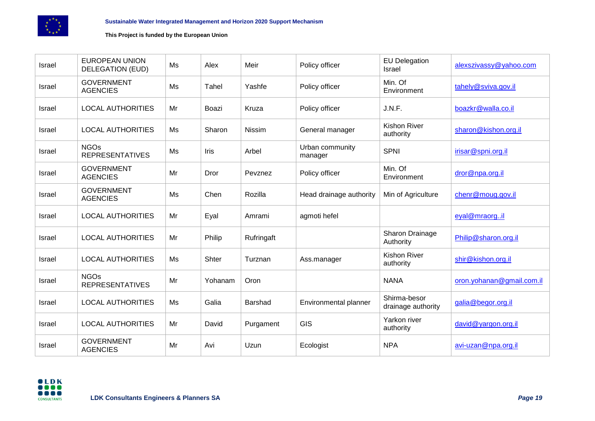

| <b>Israel</b> | <b>EUROPEAN UNION</b><br><b>DELEGATION (EUD)</b> | Ms | Alex    | Meir           | Policy officer             | <b>EU Delegation</b><br>Israel     | alexszivassy@yahoo.com    |
|---------------|--------------------------------------------------|----|---------|----------------|----------------------------|------------------------------------|---------------------------|
| <b>Israel</b> | <b>GOVERNMENT</b><br><b>AGENCIES</b>             | Ms | Tahel   | Yashfe         | Policy officer             | Min. Of<br>Environment             | tahely@sviva.gov.il       |
| Israel        | <b>LOCAL AUTHORITIES</b>                         | Mr | Boazi   | Kruza          | Policy officer             | J.N.F.                             | boazkr@walla.co.il        |
| <b>Israel</b> | <b>LOCAL AUTHORITIES</b>                         | Ms | Sharon  | Nissim         | General manager            | <b>Kishon River</b><br>authority   | sharon@kishon.org.il      |
| Israel        | <b>NGOs</b><br><b>REPRESENTATIVES</b>            | Ms | Iris    | Arbel          | Urban community<br>manager | <b>SPNI</b>                        | irisar@spni.org.il        |
| Israel        | <b>GOVERNMENT</b><br><b>AGENCIES</b>             | Mr | Dror    | Pevznez        | Policy officer             | Min. Of<br>Environment             | dror@npa.org.il           |
| Israel        | <b>GOVERNMENT</b><br><b>AGENCIES</b>             | Ms | Chen    | Rozilla        | Head drainage authority    | Min of Agriculture                 | chenr@moug.gov.il         |
| Israel        | <b>LOCAL AUTHORITIES</b>                         | Mr | Eyal    | Amrami         | agmoti hefel               |                                    | eyal@mraorgil             |
| <b>Israel</b> | <b>LOCAL AUTHORITIES</b>                         | Mr | Philip  | Rufringaft     |                            | Sharon Drainage<br>Authority       | Philip@sharon.org.il      |
| Israel        | <b>LOCAL AUTHORITIES</b>                         | Ms | Shter   | Turznan        | Ass.manager                | <b>Kishon River</b><br>authority   | shir@kishon.org.il        |
| Israel        | <b>NGOs</b><br><b>REPRESENTATIVES</b>            | Mr | Yohanam | Oron           |                            | <b>NANA</b>                        | oron.yohanan@gmail.com.il |
| <b>Israel</b> | <b>LOCAL AUTHORITIES</b>                         | Ms | Galia   | <b>Barshad</b> | Environmental planner      | Shirma-besor<br>drainage authority | galia@begor.org.il        |
| Israel        | <b>LOCAL AUTHORITIES</b>                         | Mr | David   | Purgament      | <b>GIS</b>                 | Yarkon river<br>authority          | david@yargon.org.il       |
| <b>Israel</b> | <b>GOVERNMENT</b><br><b>AGENCIES</b>             | Mr | Avi     | Uzun           | Ecologist                  | <b>NPA</b>                         | avi-uzan@npa.org.il       |

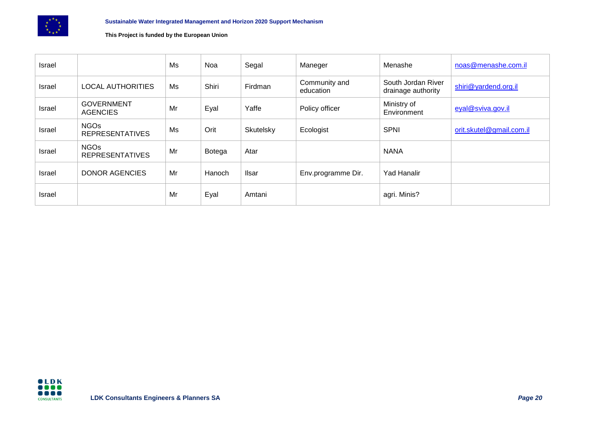

| Israel |                                       | Ms | Noa    | Segal     | Maneger                    | Menashe                                  | noas@menashe.com.il      |
|--------|---------------------------------------|----|--------|-----------|----------------------------|------------------------------------------|--------------------------|
| Israel | <b>LOCAL AUTHORITIES</b>              | Ms | Shiri  | Firdman   | Community and<br>education | South Jordan River<br>drainage authority | shiri@yardend.org.il     |
| Israel | <b>GOVERNMENT</b><br><b>AGENCIES</b>  | Mr | Eyal   | Yaffe     | Policy officer             | Ministry of<br>Environment               | eyal@sviva.gov.il        |
| Israel | <b>NGOs</b><br><b>REPRESENTATIVES</b> | Ms | Orit   | Skutelsky | Ecologist                  | <b>SPNI</b>                              | orit.skutel@gmail.com.il |
| Israel | <b>NGOs</b><br><b>REPRESENTATIVES</b> | Mr | Botega | Atar      |                            | <b>NANA</b>                              |                          |
| Israel | DONOR AGENCIES                        | Mr | Hanoch | Ilsar     | Env.programme Dir.         | <b>Yad Hanalir</b>                       |                          |
| Israel |                                       | Mr | Eyal   | Amtani    |                            | agri. Minis?                             |                          |

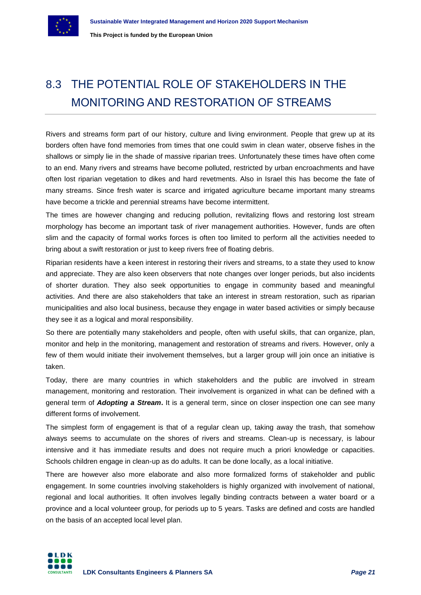# <span id="page-20-0"></span>8.3 THE POTENTIAL ROLE OF STAKEHOLDERS IN THE MONITORING AND RESTORATION OF STREAMS

Rivers and streams form part of our history, culture and living environment. People that grew up at its borders often have fond memories from times that one could swim in clean water, observe fishes in the shallows or simply lie in the shade of massive riparian trees. Unfortunately these times have often come to an end. Many rivers and streams have become polluted, restricted by urban encroachments and have often lost riparian vegetation to dikes and hard revetments. Also in Israel this has become the fate of many streams. Since fresh water is scarce and irrigated agriculture became important many streams have become a trickle and perennial streams have become intermittent.

The times are however changing and reducing pollution, revitalizing flows and restoring lost stream morphology has become an important task of river management authorities. However, funds are often slim and the capacity of formal works forces is often too limited to perform all the activities needed to bring about a swift restoration or just to keep rivers free of floating debris.

Riparian residents have a keen interest in restoring their rivers and streams, to a state they used to know and appreciate. They are also keen observers that note changes over longer periods, but also incidents of shorter duration. They also seek opportunities to engage in community based and meaningful activities. And there are also stakeholders that take an interest in stream restoration, such as riparian municipalities and also local business, because they engage in water based activities or simply because they see it as a logical and moral responsibility.

So there are potentially many stakeholders and people, often with useful skills, that can organize, plan, monitor and help in the monitoring, management and restoration of streams and rivers. However, only a few of them would initiate their involvement themselves, but a larger group will join once an initiative is taken.

Today, there are many countries in which stakeholders and the public are involved in stream management, monitoring and restoration. Their involvement is organized in what can be defined with a general term of *Adopting a Stream***.** It is a general term, since on closer inspection one can see many different forms of involvement.

The simplest form of engagement is that of a regular clean up, taking away the trash, that somehow always seems to accumulate on the shores of rivers and streams. Clean-up is necessary, is labour intensive and it has immediate results and does not require much a priori knowledge or capacities. Schools children engage in clean-up as do adults. It can be done locally, as a local initiative.

There are however also more elaborate and also more formalized forms of stakeholder and public engagement. In some countries involving stakeholders is highly organized with involvement of national, regional and local authorities. It often involves legally binding contracts between a water board or a province and a local volunteer group, for periods up to 5 years. Tasks are defined and costs are handled on the basis of an accepted local level plan.

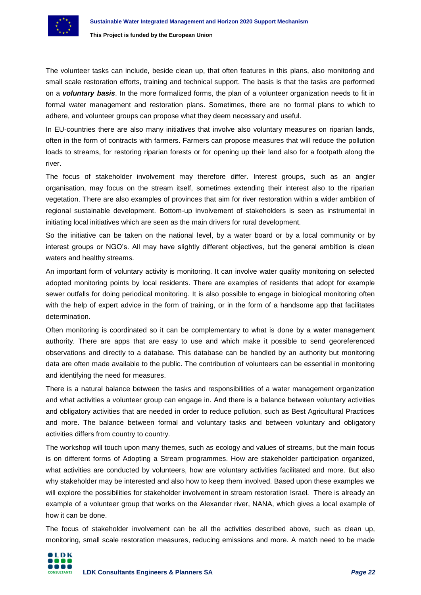The volunteer tasks can include, beside clean up, that often features in this plans, also monitoring and small scale restoration efforts, training and technical support. The basis is that the tasks are performed on a *voluntary basis*. In the more formalized forms, the plan of a volunteer organization needs to fit in formal water management and restoration plans. Sometimes, there are no formal plans to which to adhere, and volunteer groups can propose what they deem necessary and useful.

In EU-countries there are also many initiatives that involve also voluntary measures on riparian lands, often in the form of contracts with farmers. Farmers can propose measures that will reduce the pollution loads to streams, for restoring riparian forests or for opening up their land also for a footpath along the river.

The focus of stakeholder involvement may therefore differ. Interest groups, such as an angler organisation, may focus on the stream itself, sometimes extending their interest also to the riparian vegetation. There are also examples of provinces that aim for river restoration within a wider ambition of regional sustainable development. Bottom-up involvement of stakeholders is seen as instrumental in initiating local initiatives which are seen as the main drivers for rural development.

So the initiative can be taken on the national level, by a water board or by a local community or by interest groups or NGO's. All may have slightly different objectives, but the general ambition is clean waters and healthy streams.

An important form of voluntary activity is monitoring. It can involve water quality monitoring on selected adopted monitoring points by local residents. There are examples of residents that adopt for example sewer outfalls for doing periodical monitoring. It is also possible to engage in biological monitoring often with the help of expert advice in the form of training, or in the form of a handsome app that facilitates determination.

Often monitoring is coordinated so it can be complementary to what is done by a water management authority. There are apps that are easy to use and which make it possible to send georeferenced observations and directly to a database. This database can be handled by an authority but monitoring data are often made available to the public. The contribution of volunteers can be essential in monitoring and identifying the need for measures.

There is a natural balance between the tasks and responsibilities of a water management organization and what activities a volunteer group can engage in. And there is a balance between voluntary activities and obligatory activities that are needed in order to reduce pollution, such as Best Agricultural Practices and more. The balance between formal and voluntary tasks and between voluntary and obligatory activities differs from country to country.

The workshop will touch upon many themes, such as ecology and values of streams, but the main focus is on different forms of Adopting a Stream programmes. How are stakeholder participation organized, what activities are conducted by volunteers, how are voluntary activities facilitated and more. But also why stakeholder may be interested and also how to keep them involved. Based upon these examples we will explore the possibilities for stakeholder involvement in stream restoration Israel. There is already an example of a volunteer group that works on the Alexander river, NANA, which gives a local example of how it can be done.

The focus of stakeholder involvement can be all the activities described above, such as clean up, monitoring, small scale restoration measures, reducing emissions and more. A match need to be made

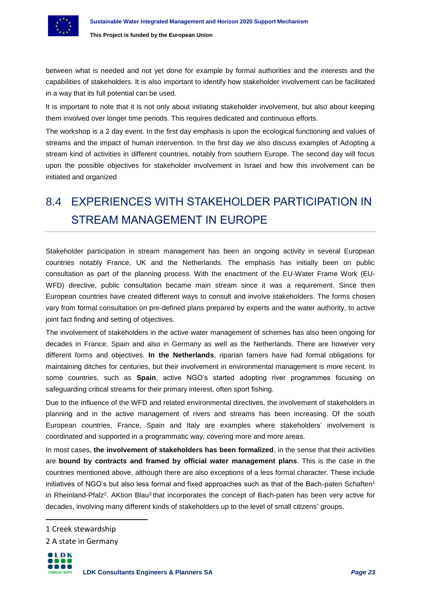

between what is needed and not yet done for example by formal authorities and the interests and the capabilities of stakeholders. It is also important to identify how stakeholder involvement can be facilitated in a way that its full potential can be used.

It is important to note that it is not only about initiating stakeholder involvement, but also about keeping them involved over longer time periods. This requires dedicated and continuous efforts.

The workshop is a 2 day event. In the first day emphasis is upon the ecological functioning and values of streams and the impact of human intervention. In the first day we also discuss examples of Adopting a stream kind of activities in different countries, notably from southern Europe. The second day will focus upon the possible objectives for stakeholder involvement in Israel and how this involvement can be initiated and organized

# <span id="page-22-0"></span>8.4 EXPERIENCES WITH STAKEHOLDER PARTICIPATION IN STREAM MANAGEMENT IN EUROPE

Stakeholder participation in stream management has been an ongoing activity in several European countries notably France, UK and the Netherlands. The emphasis has initially been on public consultation as part of the planning process. With the enactment of the EU-Water Frame Work (EU-WFD) directive, public consultation became main stream since it was a requirement. Since then European countries have created different ways to consult and involve stakeholders. The forms chosen vary from formal consultation on pre-defined plans prepared by experts and the water authority, to active joint fact finding and setting of objectives.

The involvement of stakeholders in the active water management of schemes has also been ongoing for decades in France, Spain and also in Germany as well as the Netherlands. There are however very different forms and objectives. **In the Netherlands**, riparian famers have had formal obligations for maintaining ditches for centuries, but their involvement in environmental management is more recent. In some countries, such as **Spain**, active NGO's started adopting river programmes focusing on safeguarding critical streams for their primary interest, often sport fishing.

Due to the influence of the WFD and related environmental directives, the involvement of stakeholders in planning and in the active management of rivers and streams has been increasing. Of the south European countries, France, Spain and Italy are examples where stakeholders' involvement is coordinated and supported in a programmatic way, covering more and more areas.

In most cases, **the involvement of stakeholders has been formalized**, in the sense that their activities are **bound by contracts and framed by official water management plans**. This is the case in the countries mentioned above, although there are also exceptions of a less formal character. These include initiatives of NGO's but also less formal and fixed approaches such as that of the Bach-paten Schaften<sup>1</sup> in Rheinland-Pfalz<sup>2</sup>. AKtion Blau<sup>3</sup> that incorporates the concept of Bach-paten has been very active for decades, involving many different kinds of stakeholders up to the level of small citizens' groups.

 $\overline{a}$ 

<sup>2</sup> A state in Germany



<sup>1</sup> Creek stewardship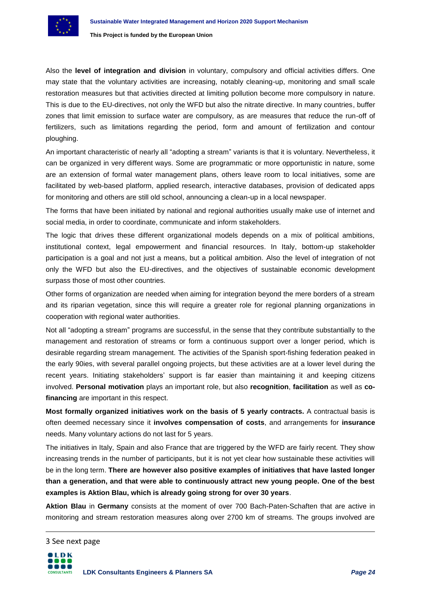

Also the **level of integration and division** in voluntary, compulsory and official activities differs. One may state that the voluntary activities are increasing, notably cleaning-up, monitoring and small scale restoration measures but that activities directed at limiting pollution become more compulsory in nature. This is due to the EU-directives, not only the WFD but also the nitrate directive. In many countries, buffer zones that limit emission to surface water are compulsory, as are measures that reduce the run-off of fertilizers, such as limitations regarding the period, form and amount of fertilization and contour ploughing.

An important characteristic of nearly all "adopting a stream" variants is that it is voluntary. Nevertheless, it can be organized in very different ways. Some are programmatic or more opportunistic in nature, some are an extension of formal water management plans, others leave room to local initiatives, some are facilitated by web-based platform, applied research, interactive databases, provision of dedicated apps for monitoring and others are still old school, announcing a clean-up in a local newspaper.

The forms that have been initiated by national and regional authorities usually make use of internet and social media, in order to coordinate, communicate and inform stakeholders.

The logic that drives these different organizational models depends on a mix of political ambitions, institutional context, legal empowerment and financial resources. In Italy, bottom-up stakeholder participation is a goal and not just a means, but a political ambition. Also the level of integration of not only the WFD but also the EU-directives, and the objectives of sustainable economic development surpass those of most other countries.

Other forms of organization are needed when aiming for integration beyond the mere borders of a stream and its riparian vegetation, since this will require a greater role for regional planning organizations in cooperation with regional water authorities.

Not all "adopting a stream" programs are successful, in the sense that they contribute substantially to the management and restoration of streams or form a continuous support over a longer period, which is desirable regarding stream management. The activities of the Spanish sport-fishing federation peaked in the early 90ies, with several parallel ongoing projects, but these activities are at a lower level during the recent years. Initiating stakeholders' support is far easier than maintaining it and keeping citizens involved. **Personal motivation** plays an important role, but also **recognition**, **facilitation** as well as **cofinancing** are important in this respect.

**Most formally organized initiatives work on the basis of 5 yearly contracts.** A contractual basis is often deemed necessary since it **involves compensation of costs**, and arrangements for **insurance** needs. Many voluntary actions do not last for 5 years.

The initiatives in Italy, Spain and also France that are triggered by the WFD are fairly recent. They show increasing trends in the number of participants, but it is not yet clear how sustainable these activities will be in the long term. **There are however also positive examples of initiatives that have lasted longer than a generation, and that were able to continuously attract new young people. One of the best examples is Aktion Blau, which is already going strong for over 30 years**.

**Aktion Blau** in **Germany** consists at the moment of over 700 Bach-Paten-Schaften that are active in monitoring and stream restoration measures along over 2700 km of streams. The groups involved are

3 See next page

**.**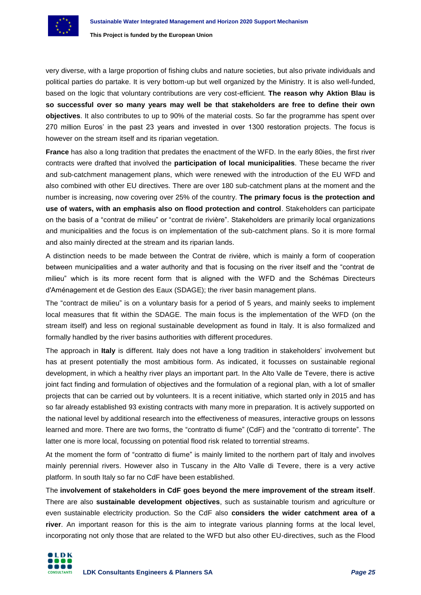

very diverse, with a large proportion of fishing clubs and nature societies, but also private individuals and political parties do partake. It is very bottom-up but well organized by the Ministry. It is also well-funded, based on the logic that voluntary contributions are very cost-efficient. **The reason why Aktion Blau is so successful over so many years may well be that stakeholders are free to define their own objectives**. It also contributes to up to 90% of the material costs. So far the programme has spent over 270 million Euros' in the past 23 years and invested in over 1300 restoration projects. The focus is however on the stream itself and its riparian vegetation.

**France** has also a long tradition that predates the enactment of the WFD. In the early 80ies, the first river contracts were drafted that involved the **participation of local municipalities**. These became the river and sub-catchment management plans, which were renewed with the introduction of the EU WFD and also combined with other EU directives. There are over 180 sub-catchment plans at the moment and the number is increasing, now covering over 25% of the country. **The primary focus is the protection and use of waters, with an emphasis also on flood protection and control**. Stakeholders can participate on the basis of a "contrat de milieu" or "contrat de rivière". Stakeholders are primarily local organizations and municipalities and the focus is on implementation of the sub-catchment plans. So it is more formal and also mainly directed at the stream and its riparian lands.

A distinction needs to be made between the Contrat de rivière, which is mainly a form of cooperation between municipalities and a water authority and that is focusing on the river itself and the "contrat de milieu" which is its more recent form that is aligned with the WFD and the Schémas Directeurs d'Aménagement et de Gestion des Eaux (SDAGE); the river basin management plans.

The "contract de milieu" is on a voluntary basis for a period of 5 years, and mainly seeks to implement local measures that fit within the SDAGE. The main focus is the implementation of the WFD (on the stream itself) and less on regional sustainable development as found in Italy. It is also formalized and formally handled by the river basins authorities with different procedures.

The approach in **Italy** is different. Italy does not have a long tradition in stakeholders' involvement but has at present potentially the most ambitious form. As indicated, it focusses on sustainable regional development, in which a healthy river plays an important part. In the Alto Valle de Tevere, there is active joint fact finding and formulation of objectives and the formulation of a regional plan, with a lot of smaller projects that can be carried out by volunteers. It is a recent initiative, which started only in 2015 and has so far already established 93 existing contracts with many more in preparation. It is actively supported on the national level by additional research into the effectiveness of measures, interactive groups on lessons learned and more. There are two forms, the "contratto di fiume" (CdF) and the "contratto di torrente". The latter one is more local, focussing on potential flood risk related to torrential streams.

At the moment the form of "contratto di fiume" is mainly limited to the northern part of Italy and involves mainly perennial rivers. However also in Tuscany in the Alto Valle di Tevere, there is a very active platform. In south Italy so far no CdF have been established.

The **involvement of stakeholders in CdF goes beyond the mere improvement of the stream itself**. There are also **sustainable development objectives**, such as sustainable tourism and agriculture or even sustainable electricity production. So the CdF also **considers the wider catchment area of a river**. An important reason for this is the aim to integrate various planning forms at the local level, incorporating not only those that are related to the WFD but also other EU-directives, such as the Flood

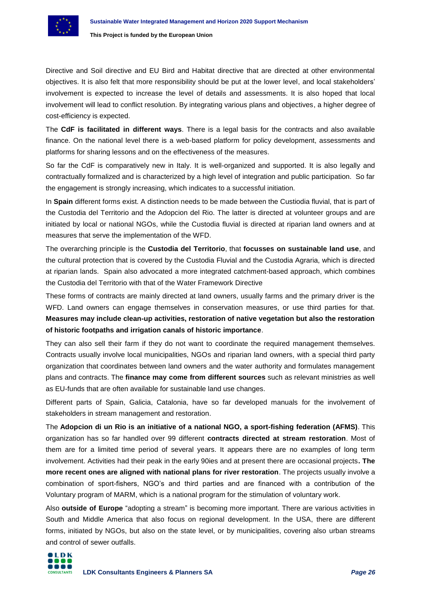

Directive and Soil directive and EU Bird and Habitat directive that are directed at other environmental objectives. It is also felt that more responsibility should be put at the lower level, and local stakeholders' involvement is expected to increase the level of details and assessments. It is also hoped that local involvement will lead to conflict resolution. By integrating various plans and objectives, a higher degree of cost-efficiency is expected.

The **CdF is facilitated in different ways**. There is a legal basis for the contracts and also available finance. On the national level there is a web-based platform for policy development, assessments and platforms for sharing lessons and on the effectiveness of the measures.

So far the CdF is comparatively new in Italy. It is well-organized and supported. It is also legally and contractually formalized and is characterized by a high level of integration and public participation. So far the engagement is strongly increasing, which indicates to a successful initiation.

In **Spain** different forms exist. A distinction needs to be made between the Custiodia fluvial, that is part of the Custodia del Territorio and the Adopcion del Rio. The latter is directed at volunteer groups and are initiated by local or national NGOs, while the Custodia fluvial is directed at riparian land owners and at measures that serve the implementation of the WFD.

The overarching principle is the **Custodia del Territorio**, that **focusses on sustainable land use**, and the cultural protection that is covered by the Custodia Fluvial and the Custodia Agraria, which is directed at riparian lands. Spain also advocated a more integrated catchment-based approach, which combines the Custodia del Territorio with that of the Water Framework Directive

These forms of contracts are mainly directed at land owners, usually farms and the primary driver is the WFD. Land owners can engage themselves in conservation measures, or use third parties for that. **Measures may include clean-up activities, restoration of native vegetation but also the restoration of historic footpaths and irrigation canals of historic importance**.

They can also sell their farm if they do not want to coordinate the required management themselves. Contracts usually involve local municipalities, NGOs and riparian land owners, with a special third party organization that coordinates between land owners and the water authority and formulates management plans and contracts. The **finance may come from different sources** such as relevant ministries as well as EU-funds that are often available for sustainable land use changes.

Different parts of Spain, Galicia, Catalonia, have so far developed manuals for the involvement of stakeholders in stream management and restoration.

The **Adopcion di un Rio is an initiative of a national NGO, a sport-fishing federation (AFMS)**. This organization has so far handled over 99 different **contracts directed at stream restoration**. Most of them are for a limited time period of several years. It appears there are no examples of long term involvement. Activities had their peak in the early 90ies and at present there are occasional projects**. The more recent ones are aligned with national plans for river restoration**. The projects usually involve a combination of sport-fishers, NGO's and third parties and are financed with a contribution of the Voluntary program of MARM, which is a national program for the stimulation of voluntary work.

Also **outside of Europe** "adopting a stream" is becoming more important. There are various activities in South and Middle America that also focus on regional development. In the USA, there are different forms, initiated by NGOs, but also on the state level, or by municipalities, covering also urban streams and control of sewer outfalls.

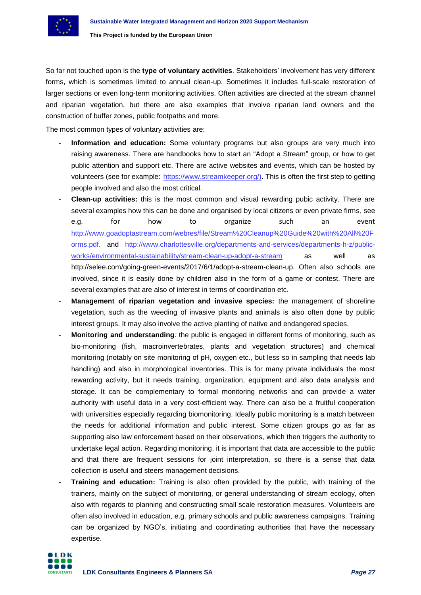So far not touched upon is the **type of voluntary activities**. Stakeholders' involvement has very different forms, which is sometimes limited to annual clean-up. Sometimes it includes full-scale restoration of larger sections or even long-term monitoring activities. Often activities are directed at the stream channel and riparian vegetation, but there are also examples that involve riparian land owners and the construction of buffer zones, public footpaths and more.

The most common types of voluntary activities are:

- **- Information and education:** Some voluntary programs but also groups are very much into raising awareness. There are handbooks how to start an "Adopt a Stream" group, or how to get public attention and support etc. There are active websites and events, which can be hosted by volunteers (see for example: https://www.streamkeeper.org/). This is often the first step to getting people involved and also the most critical.
- **- Clean-up activities:** this is the most common and visual rewarding pubic activity. There are several examples how this can be done and organised by local citizens or even private firms, see e.g. for how to organize such an event http://www.goadoptastream.com/webres/file/Stream%20Cleanup%20Guide%20with%20All%20F orms.pdf. and [http://www.charlottesville.org/departments-and-services/departments-h-z/public](http://www.charlottesville.org/departments-and-services/departments-h-z/public-works/environmental-sustainability/stream-clean-up-adopt-a-stream)[works/environmental-sustainability/stream-clean-up-adopt-a-stream](http://www.charlottesville.org/departments-and-services/departments-h-z/public-works/environmental-sustainability/stream-clean-up-adopt-a-stream) as well as http://selee.com/going-green-events/2017/6/1/adopt-a-stream-clean-up. Often also schools are involved, since it is easily done by children also in the form of a game or contest. There are several examples that are also of interest in terms of coordination etc.
- **- Management of riparian vegetation and invasive species:** the management of shoreline vegetation, such as the weeding of invasive plants and animals is also often done by public interest groups. It may also involve the active planting of native and endangered species.
- **- Monitoring and understanding***:* the public is engaged in different forms of monitoring, such as bio-monitoring (fish, macroinvertebrates, plants and vegetation structures) and chemical monitoring (notably on site monitoring of pH, oxygen etc., but less so in sampling that needs lab handling) and also in morphological inventories. This is for many private individuals the most rewarding activity, but it needs training, organization, equipment and also data analysis and storage. It can be complementary to formal monitoring networks and can provide a water authority with useful data in a very cost-efficient way. There can also be a fruitful cooperation with universities especially regarding biomonitoring. Ideally public monitoring is a match between the needs for additional information and public interest. Some citizen groups go as far as supporting also law enforcement based on their observations, which then triggers the authority to undertake legal action. Regarding monitoring, it is important that data are accessible to the public and that there are frequent sessions for joint interpretation, so there is a sense that data collection is useful and steers management decisions.
- **- Training and education:** Training is also often provided by the public, with training of the trainers, mainly on the subject of monitoring, or general understanding of stream ecology, often also with regards to planning and constructing small scale restoration measures. Volunteers are often also involved in education, e.g. primary schools and public awareness campaigns. Training can be organized by NGO's, initiating and coordinating authorities that have the necessary expertise.

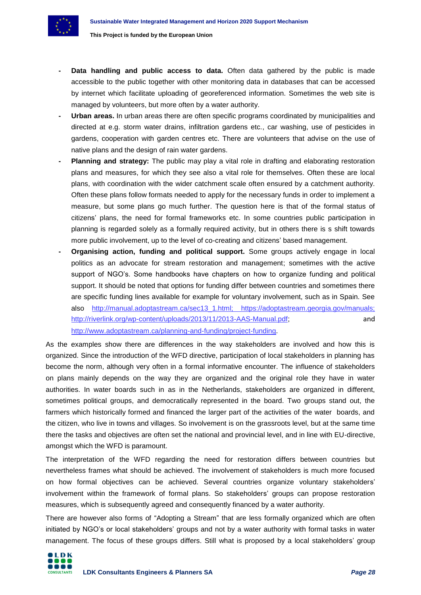

- **Data handling and public access to data.** Often data gathered by the public is made accessible to the public together with other monitoring data in databases that can be accessed by internet which facilitate uploading of georeferenced information. Sometimes the web site is managed by volunteers, but more often by a water authority.
- **- Urban areas.** In urban areas there are often specific programs coordinated by municipalities and directed at e.g. storm water drains, infiltration gardens etc., car washing, use of pesticides in gardens, cooperation with garden centres etc. There are volunteers that advise on the use of native plans and the design of rain water gardens.
- **- Planning and strategy:** The public may play a vital role in drafting and elaborating restoration plans and measures, for which they see also a vital role for themselves. Often these are local plans, with coordination with the wider catchment scale often ensured by a catchment authority. Often these plans follow formats needed to apply for the necessary funds in order to implement a measure, but some plans go much further. The question here is that of the formal status of citizens' plans, the need for formal frameworks etc. In some countries public participation in planning is regarded solely as a formally required activity, but in others there is s shift towards more public involvement, up to the level of co-creating and citizens' based management.
- **- Organising action, funding and political support.** Some groups actively engage in local politics as an advocate for stream restoration and management; sometimes with the active support of NGO's. Some handbooks have chapters on how to organize funding and political support. It should be noted that options for funding differ between countries and sometimes there are specific funding lines available for example for voluntary involvement, such as in Spain. See also http://manual.adoptastream.ca/sec13\_1.html; https://adoptastream.georgia.gov/manuals; http://riverlink.org/wp-content/uploads/2013/11/2013-AAS-Manual.pdf; and http://www.adoptastream.ca/planning-and-funding/project-funding.

As the examples show there are differences in the way stakeholders are involved and how this is organized. Since the introduction of the WFD directive, participation of local stakeholders in planning has become the norm, although very often in a formal informative encounter. The influence of stakeholders on plans mainly depends on the way they are organized and the original role they have in water authorities. In water boards such in as in the Netherlands, stakeholders are organized in different, sometimes political groups, and democratically represented in the board. Two groups stand out, the farmers which historically formed and financed the larger part of the activities of the water boards, and the citizen, who live in towns and villages. So involvement is on the grassroots level, but at the same time there the tasks and objectives are often set the national and provincial level, and in line with EU-directive, amongst which the WFD is paramount.

The interpretation of the WFD regarding the need for restoration differs between countries but nevertheless frames what should be achieved. The involvement of stakeholders is much more focused on how formal objectives can be achieved. Several countries organize voluntary stakeholders' involvement within the framework of formal plans. So stakeholders' groups can propose restoration measures, which is subsequently agreed and consequently financed by a water authority.

There are however also forms of "Adopting a Stream" that are less formally organized which are often initiated by NGO's or local stakeholders' groups and not by a water authority with formal tasks in water management. The focus of these groups differs. Still what is proposed by a local stakeholders' group

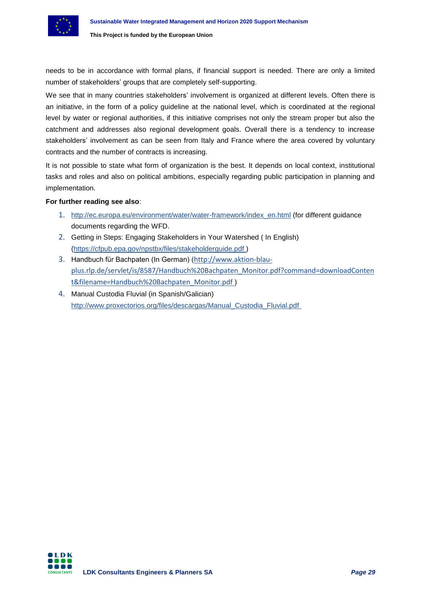needs to be in accordance with formal plans, if financial support is needed. There are only a limited number of stakeholders' groups that are completely self-supporting.

We see that in many countries stakeholders' involvement is organized at different levels. Often there is an initiative, in the form of a policy guideline at the national level, which is coordinated at the regional level by water or regional authorities, if this initiative comprises not only the stream proper but also the catchment and addresses also regional development goals. Overall there is a tendency to increase stakeholders' involvement as can be seen from Italy and France where the area covered by voluntary contracts and the number of contracts is increasing.

It is not possible to state what form of organization is the best. It depends on local context, institutional tasks and roles and also on political ambitions, especially regarding public participation in planning and implementation.

## **For further reading see also**:

- 1. [http://ec.europa.eu/environment/water/water-framework/index\\_en.html](http://ec.europa.eu/environment/water/water-framework/index_en.html) (for different guidance documents regarding the WFD.
- 2. Getting in Steps: Engaging Stakeholders in Your Watershed ( In English) [\(https://cfpub.epa.gov/npstbx/files/stakeholderguide.pdf](https://cfpub.epa.gov/npstbx/files/stakeholderguide.pdf) )
- 3. Handbuch für Bachpaten (In German) ([http://www.aktion-blau](http://www.aktion-blau-plus.rlp.de/servlet/is/8587/Handbuch%20Bachpaten_Monitor.pdf?command=downloadContent&filename=Handbuch%20Bachpaten_Monitor.pdf)[plus.rlp.de/servlet/is/8587/Handbuch%20Bachpaten\\_Monitor.pdf?command=downloadConten](http://www.aktion-blau-plus.rlp.de/servlet/is/8587/Handbuch%20Bachpaten_Monitor.pdf?command=downloadContent&filename=Handbuch%20Bachpaten_Monitor.pdf) [t&filename=Handbuch%20Bachpaten\\_Monitor.pdf](http://www.aktion-blau-plus.rlp.de/servlet/is/8587/Handbuch%20Bachpaten_Monitor.pdf?command=downloadContent&filename=Handbuch%20Bachpaten_Monitor.pdf) )
- 4. Manual Custodia Fluvial (in Spanish/Galician) [http://www.proxectorios.org/files/descargas/Manual\\_Custodia\\_Fluvial.pdf](http://www.proxectorios.org/files/descargas/Manual_Custodia_Fluvial.pdf)

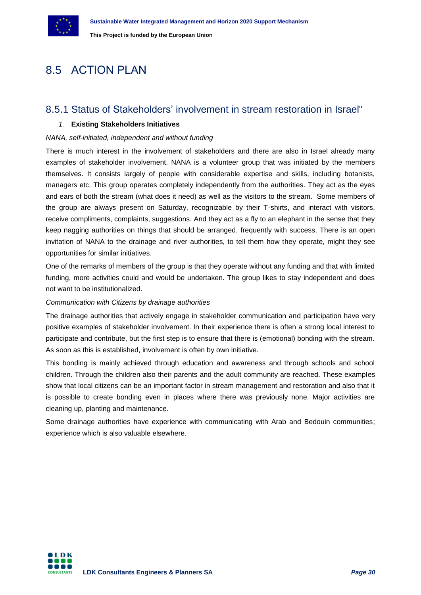

# <span id="page-29-0"></span>8.5 ACTION PLAN

# <span id="page-29-1"></span>8.5.1 Status of Stakeholders' involvement in stream restoration in Israel"

# *1.* **Existing Stakeholders Initiatives**

# *NANA, self-initiated, independent and without funding*

There is much interest in the involvement of stakeholders and there are also in Israel already many examples of stakeholder involvement. NANA is a volunteer group that was initiated by the members themselves. It consists largely of people with considerable expertise and skills, including botanists, managers etc. This group operates completely independently from the authorities. They act as the eyes and ears of both the stream (what does it need) as well as the visitors to the stream. Some members of the group are always present on Saturday, recognizable by their T-shirts, and interact with visitors, receive compliments, complaints, suggestions. And they act as a fly to an elephant in the sense that they keep nagging authorities on things that should be arranged, frequently with success. There is an open invitation of NANA to the drainage and river authorities, to tell them how they operate, might they see opportunities for similar initiatives.

One of the remarks of members of the group is that they operate without any funding and that with limited funding, more activities could and would be undertaken. The group likes to stay independent and does not want to be institutionalized.

# *Communication with Citizens by drainage authorities*

The drainage authorities that actively engage in stakeholder communication and participation have very positive examples of stakeholder involvement. In their experience there is often a strong local interest to participate and contribute, but the first step is to ensure that there is (emotional) bonding with the stream. As soon as this is established, involvement is often by own initiative.

This bonding is mainly achieved through education and awareness and through schools and school children. Through the children also their parents and the adult community are reached. These examples show that local citizens can be an important factor in stream management and restoration and also that it is possible to create bonding even in places where there was previously none. Major activities are cleaning up, planting and maintenance.

Some drainage authorities have experience with communicating with Arab and Bedouin communities; experience which is also valuable elsewhere.

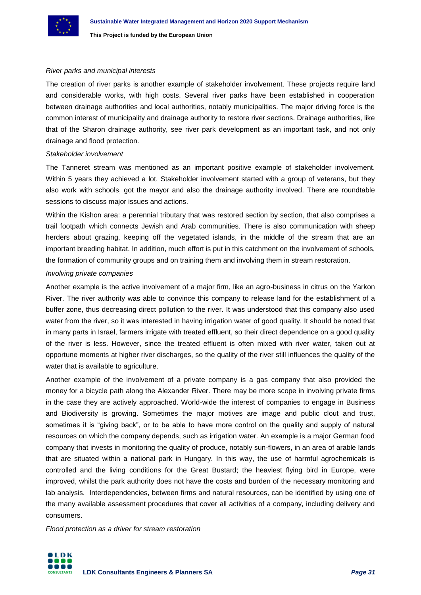

### *River parks and municipal interests*

The creation of river parks is another example of stakeholder involvement. These projects require land and considerable works, with high costs. Several river parks have been established in cooperation between drainage authorities and local authorities, notably municipalities. The major driving force is the common interest of municipality and drainage authority to restore river sections. Drainage authorities, like that of the Sharon drainage authority, see river park development as an important task, and not only drainage and flood protection.

#### *Stakeholder involvement*

The Tanneret stream was mentioned as an important positive example of stakeholder involvement. Within 5 years they achieved a lot. Stakeholder involvement started with a group of veterans, but they also work with schools, got the mayor and also the drainage authority involved. There are roundtable sessions to discuss major issues and actions.

Within the Kishon area: a perennial tributary that was restored section by section, that also comprises a trail footpath which connects Jewish and Arab communities. There is also communication with sheep herders about grazing, keeping off the vegetated islands, in the middle of the stream that are an important breeding habitat. In addition, much effort is put in this catchment on the involvement of schools, the formation of community groups and on training them and involving them in stream restoration.

### *Involving private companies*

Another example is the active involvement of a major firm, like an agro-business in citrus on the Yarkon River. The river authority was able to convince this company to release land for the establishment of a buffer zone, thus decreasing direct pollution to the river. It was understood that this company also used water from the river, so it was interested in having irrigation water of good quality. It should be noted that in many parts in Israel, farmers irrigate with treated effluent, so their direct dependence on a good quality of the river is less. However, since the treated effluent is often mixed with river water, taken out at opportune moments at higher river discharges, so the quality of the river still influences the quality of the water that is available to agriculture.

Another example of the involvement of a private company is a gas company that also provided the money for a bicycle path along the Alexander River. There may be more scope in involving private firms in the case they are actively approached. World-wide the interest of companies to engage in Business and Biodiversity is growing. Sometimes the major motives are image and public clout and trust, sometimes it is "giving back", or to be able to have more control on the quality and supply of natural resources on which the company depends, such as irrigation water. An example is a major German food company that invests in monitoring the quality of produce, notably sun-flowers, in an area of arable lands that are situated within a national park in Hungary. In this way, the use of harmful agrochemicals is controlled and the living conditions for the Great Bustard; the heaviest flying bird in Europe, were improved, whilst the park authority does not have the costs and burden of the necessary monitoring and lab analysis. Interdependencies, between firms and natural resources, can be identified by using one of the many available assessment procedures that cover all activities of a company, including delivery and consumers.

*Flood protection as a driver for stream restoration*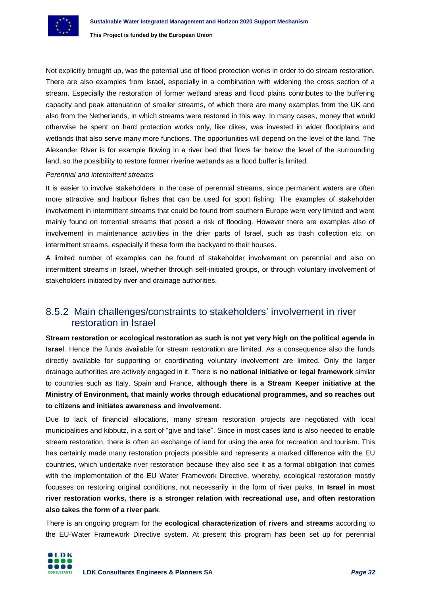Not explicitly brought up, was the potential use of flood protection works in order to do stream restoration. There are also examples from Israel, especially in a combination with widening the cross section of a stream. Especially the restoration of former wetland areas and flood plains contributes to the buffering capacity and peak attenuation of smaller streams, of which there are many examples from the UK and also from the Netherlands, in which streams were restored in this way. In many cases, money that would otherwise be spent on hard protection works only, like dikes, was invested in wider floodplains and wetlands that also serve many more functions. The opportunities will depend on the level of the land. The Alexander River is for example flowing in a river bed that flows far below the level of the surrounding land, so the possibility to restore former riverine wetlands as a flood buffer is limited.

## *Perennial and intermittent streams*

It is easier to involve stakeholders in the case of perennial streams, since permanent waters are often more attractive and harbour fishes that can be used for sport fishing. The examples of stakeholder involvement in intermittent streams that could be found from southern Europe were very limited and were mainly found on torrential streams that posed a risk of flooding. However there are examples also of involvement in maintenance activities in the drier parts of Israel, such as trash collection etc. on intermittent streams, especially if these form the backyard to their houses.

A limited number of examples can be found of stakeholder involvement on perennial and also on intermittent streams in Israel, whether through self-initiated groups, or through voluntary involvement of stakeholders initiated by river and drainage authorities.

# <span id="page-31-0"></span>8.5.2 Main challenges/constraints to stakeholders' involvement in river restoration in Israel

**Stream restoration or ecological restoration as such is not yet very high on the political agenda in Israel**. Hence the funds available for stream restoration are limited. As a consequence also the funds directly available for supporting or coordinating voluntary involvement are limited. Only the larger drainage authorities are actively engaged in it. There is **no national initiative or legal framework** similar to countries such as Italy, Spain and France, **although there is a Stream Keeper initiative at the Ministry of Environment, that mainly works through educational programmes, and so reaches out to citizens and initiates awareness and involvement**.

Due to lack of financial allocations, many stream restoration projects are negotiated with local municipalities and kibbutz, in a sort of "give and take". Since in most cases land is also needed to enable stream restoration, there is often an exchange of land for using the area for recreation and tourism. This has certainly made many restoration projects possible and represents a marked difference with the EU countries, which undertake river restoration because they also see it as a formal obligation that comes with the implementation of the EU Water Framework Directive, whereby, ecological restoration mostly focusses on restoring original conditions, not necessarily in the form of river parks. **In Israel in most river restoration works, there is a stronger relation with recreational use, and often restoration also takes the form of a river park**.

There is an ongoing program for the **ecological characterization of rivers and streams** according to the EU-Water Framework Directive system. At present this program has been set up for perennial

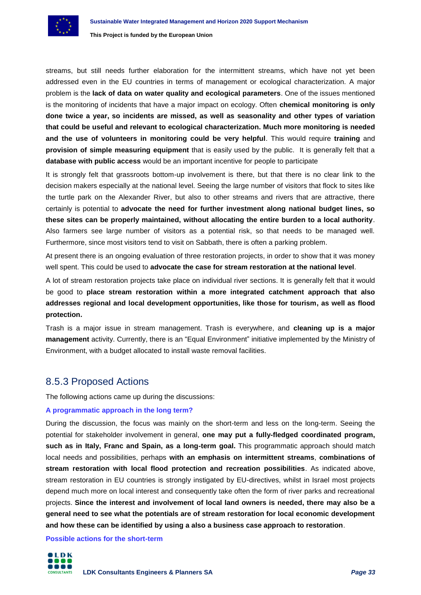streams, but still needs further elaboration for the intermittent streams, which have not yet been addressed even in the EU countries in terms of management or ecological characterization. A major problem is the **lack of data on water quality and ecological parameters**. One of the issues mentioned is the monitoring of incidents that have a major impact on ecology. Often **chemical monitoring is only done twice a year, so incidents are missed, as well as seasonality and other types of variation that could be useful and relevant to ecological characterization. Much more monitoring is needed and the use of volunteers in monitoring could be very helpful**. This would require **training** and **provision of simple measuring equipment** that is easily used by the public. It is generally felt that a **database with public access** would be an important incentive for people to participate

It is strongly felt that grassroots bottom-up involvement is there, but that there is no clear link to the decision makers especially at the national level. Seeing the large number of visitors that flock to sites like the turtle park on the Alexander River, but also to other streams and rivers that are attractive, there certainly is potential to **advocate the need for further investment along national budget lines, so these sites can be properly maintained, without allocating the entire burden to a local authority**. Also farmers see large number of visitors as a potential risk, so that needs to be managed well. Furthermore, since most visitors tend to visit on Sabbath, there is often a parking problem.

At present there is an ongoing evaluation of three restoration projects, in order to show that it was money well spent. This could be used to **advocate the case for stream restoration at the national level**.

A lot of stream restoration projects take place on individual river sections. It is generally felt that it would be good to **place stream restoration within a more integrated catchment approach that also addresses regional and local development opportunities, like those for tourism, as well as flood protection.**

Trash is a major issue in stream management. Trash is everywhere, and **cleaning up is a major management** activity. Currently, there is an "Equal Environment" initiative implemented by the Ministry of Environment, with a budget allocated to install waste removal facilities.

# <span id="page-32-0"></span>8.5.3 Proposed Actions

The following actions came up during the discussions:

## **A programmatic approach in the long term?**

During the discussion, the focus was mainly on the short-term and less on the long-term. Seeing the potential for stakeholder involvement in general, **one may put a fully-fledged coordinated program, such as in Italy, Franc and Spain, as a long-term goal.** This programmatic approach should match local needs and possibilities, perhaps **with an emphasis on intermittent streams**, **combinations of stream restoration with local flood protection and recreation possibilities**. As indicated above, stream restoration in EU countries is strongly instigated by EU-directives, whilst in Israel most projects depend much more on local interest and consequently take often the form of river parks and recreational projects. **Since the interest and involvement of local land owners is needed, there may also be a general need to see what the potentials are of stream restoration for local economic development and how these can be identified by using a also a business case approach to restoration**.

**Possible actions for the short-term**

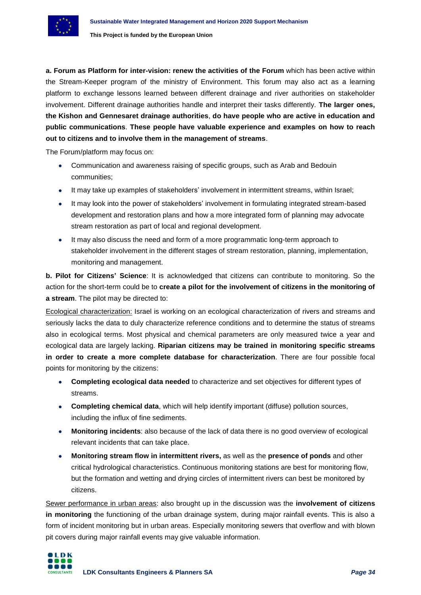

**a. Forum as Platform for inter-vision: renew the activities of the Forum** which has been active within the Stream-Keeper program of the ministry of Environment. This forum may also act as a learning platform to exchange lessons learned between different drainage and river authorities on stakeholder involvement. Different drainage authorities handle and interpret their tasks differently. **The larger ones, the Kishon and Gennesaret drainage authorities**, **do have people who are active in education and public communications**. **These people have valuable experience and examples on how to reach out to citizens and to involve them in the management of streams**.

The Forum/platform may focus on:

- Communication and awareness raising of specific groups, such as Arab and Bedouin communities;
- It may take up examples of stakeholders' involvement in intermittent streams, within Israel;
- It may look into the power of stakeholders' involvement in formulating integrated stream-based development and restoration plans and how a more integrated form of planning may advocate stream restoration as part of local and regional development.
- It may also discuss the need and form of a more programmatic long-term approach to stakeholder involvement in the different stages of stream restoration, planning, implementation, monitoring and management.

**b. Pilot for Citizens' Science**: It is acknowledged that citizens can contribute to monitoring. So the action for the short-term could be to **create a pilot for the involvement of citizens in the monitoring of a stream**. The pilot may be directed to:

Ecological characterization: Israel is working on an ecological characterization of rivers and streams and seriously lacks the data to duly characterize reference conditions and to determine the status of streams also in ecological terms. Most physical and chemical parameters are only measured twice a year and ecological data are largely lacking. **Riparian citizens may be trained in monitoring specific streams in order to create a more complete database for characterization**. There are four possible focal points for monitoring by the citizens:

- **Completing ecological data needed** to characterize and set objectives for different types of streams.
- **Completing chemical data**, which will help identify important (diffuse) pollution sources, including the influx of fine sediments.
- **Monitoring incidents**: also because of the lack of data there is no good overview of ecological relevant incidents that can take place.
- **Monitoring stream flow in intermittent rivers,** as well as the **presence of ponds** and other critical hydrological characteristics. Continuous monitoring stations are best for monitoring flow, but the formation and wetting and drying circles of intermittent rivers can best be monitored by citizens.

Sewer performance in urban areas: also brought up in the discussion was the **involvement of citizens in monitoring** the functioning of the urban drainage system, during major rainfall events. This is also a form of incident monitoring but in urban areas. Especially monitoring sewers that overflow and with blown pit covers during major rainfall events may give valuable information.

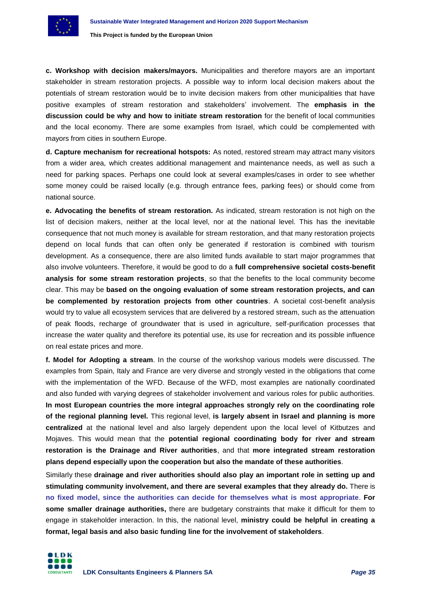

**c. Workshop with decision makers/mayors.** Municipalities and therefore mayors are an important stakeholder in stream restoration projects. A possible way to inform local decision makers about the potentials of stream restoration would be to invite decision makers from other municipalities that have positive examples of stream restoration and stakeholders' involvement. The **emphasis in the discussion could be why and how to initiate stream restoration** for the benefit of local communities and the local economy. There are some examples from Israel, which could be complemented with mayors from cities in southern Europe.

**d. Capture mechanism for recreational hotspots:** As noted, restored stream may attract many visitors from a wider area, which creates additional management and maintenance needs, as well as such a need for parking spaces. Perhaps one could look at several examples/cases in order to see whether some money could be raised locally (e.g. through entrance fees, parking fees) or should come from national source.

**e. Advocating the benefits of stream restoration.** As indicated, stream restoration is not high on the list of decision makers, neither at the local level, nor at the national level. This has the inevitable consequence that not much money is available for stream restoration, and that many restoration projects depend on local funds that can often only be generated if restoration is combined with tourism development. As a consequence, there are also limited funds available to start major programmes that also involve volunteers. Therefore, it would be good to do a **full comprehensive societal costs-benefit analysis for some stream restoration projects**, so that the benefits to the local community become clear. This may be **based on the ongoing evaluation of some stream restoration projects, and can be complemented by restoration projects from other countries**. A societal cost-benefit analysis would try to value all ecosystem services that are delivered by a restored stream, such as the attenuation of peak floods, recharge of groundwater that is used in agriculture, self-purification processes that increase the water quality and therefore its potential use, its use for recreation and its possible influence on real estate prices and more.

**f. Model for Adopting a stream**. In the course of the workshop various models were discussed. The examples from Spain, Italy and France are very diverse and strongly vested in the obligations that come with the implementation of the WFD. Because of the WFD, most examples are nationally coordinated and also funded with varying degrees of stakeholder involvement and various roles for public authorities. **In most European countries the more integral approaches strongly rely on the coordinating role of the regional planning level.** This regional level, **is largely absent in Israel and planning is more centralized** at the national level and also largely dependent upon the local level of Kitbutzes and Mojaves. This would mean that the **potential regional coordinating body for river and stream restoration is the Drainage and River authorities**, and that **more integrated stream restoration plans depend especially upon the cooperation but also the mandate of these authorities**.

Similarly these **drainage and river authorities should also play an important role in setting up and stimulating community involvement, and there are several examples that they already do.** There is **no fixed model, since the authorities can decide for themselves what is most appropriate**. **For some smaller drainage authorities,** there are budgetary constraints that make it difficult for them to engage in stakeholder interaction. In this, the national level, **ministry could be helpful in creating a format, legal basis and also basic funding line for the involvement of stakeholders**.

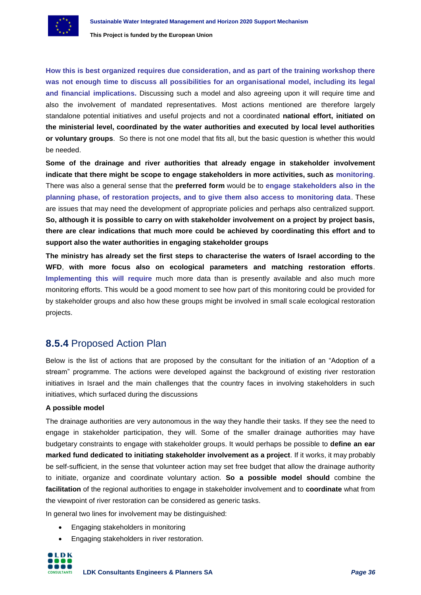

**How this is best organized requires due consideration, and as part of the training workshop there was not enough time to discuss all possibilities for an organisational model, including its legal and financial implications.** Discussing such a model and also agreeing upon it will require time and also the involvement of mandated representatives. Most actions mentioned are therefore largely standalone potential initiatives and useful projects and not a coordinated **national effort, initiated on the ministerial level, coordinated by the water authorities and executed by local level authorities or voluntary groups**. So there is not one model that fits all, but the basic question is whether this would be needed.

**Some of the drainage and river authorities that already engage in stakeholder involvement indicate that there might be scope to engage stakeholders in more activities, such as monitoring**. There was also a general sense that the **preferred form** would be to **engage stakeholders also in the planning phase, of restoration projects, and to give them also access to monitoring data**. These are issues that may need the development of appropriate policies and perhaps also centralized support. **So, although it is possible to carry on with stakeholder involvement on a project by project basis, there are clear indications that much more could be achieved by coordinating this effort and to support also the water authorities in engaging stakeholder groups**

**The ministry has already set the first steps to characterise the waters of Israel according to the WFD**, **with more focus also on ecological parameters and matching restoration efforts**. **Implementing this will require** much more data than is presently available and also much more monitoring efforts. This would be a good moment to see how part of this monitoring could be provided for by stakeholder groups and also how these groups might be involved in small scale ecological restoration projects.

# <span id="page-35-0"></span>**8.5.4** Proposed Action Plan

Below is the list of actions that are proposed by the consultant for the initiation of an "Adoption of a stream" programme. The actions were developed against the background of existing river restoration initiatives in Israel and the main challenges that the country faces in involving stakeholders in such initiatives, which surfaced during the discussions

# **A possible model**

The drainage authorities are very autonomous in the way they handle their tasks. If they see the need to engage in stakeholder participation, they will. Some of the smaller drainage authorities may have budgetary constraints to engage with stakeholder groups. It would perhaps be possible to **define an ear marked fund dedicated to initiating stakeholder involvement as a project**. If it works, it may probably be self-sufficient, in the sense that volunteer action may set free budget that allow the drainage authority to initiate, organize and coordinate voluntary action. **So a possible model should** combine the **facilitation** of the regional authorities to engage in stakeholder involvement and to **coordinate** what from the viewpoint of river restoration can be considered as generic tasks.

In general two lines for involvement may be distinguished:

- Engaging stakeholders in monitoring
- Engaging stakeholders in river restoration.

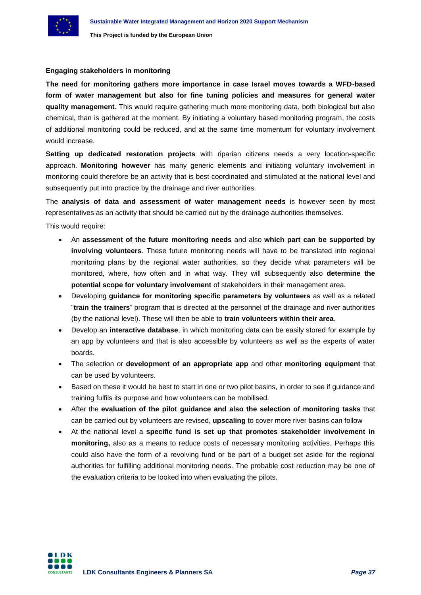

## **Engaging stakeholders in monitoring**

**The need for monitoring gathers more importance in case Israel moves towards a WFD-based form of water management but also for fine tuning policies and measures for general water quality management**. This would require gathering much more monitoring data, both biological but also chemical, than is gathered at the moment. By initiating a voluntary based monitoring program, the costs of additional monitoring could be reduced, and at the same time momentum for voluntary involvement would increase.

**Setting up dedicated restoration projects** with riparian citizens needs a very location-specific approach. **Monitoring however** has many generic elements and initiating voluntary involvement in monitoring could therefore be an activity that is best coordinated and stimulated at the national level and subsequently put into practice by the drainage and river authorities.

The **analysis of data and assessment of water management needs** is however seen by most representatives as an activity that should be carried out by the drainage authorities themselves.

This would require:

- An **assessment of the future monitoring needs** and also **which part can be supported by involving volunteers**. These future monitoring needs will have to be translated into regional monitoring plans by the regional water authorities, so they decide what parameters will be monitored, where, how often and in what way. They will subsequently also **determine the potential scope for voluntary involvement** of stakeholders in their management area.
- Developing **guidance for monitoring specific parameters by volunteers** as well as a related "**train the trainers**" program that is directed at the personnel of the drainage and river authorities (by the national level). These will then be able to **train volunteers within their area**.
- Develop an **interactive database**, in which monitoring data can be easily stored for example by an app by volunteers and that is also accessible by volunteers as well as the experts of water boards.
- The selection or **development of an appropriate app** and other **monitoring equipment** that can be used by volunteers.
- Based on these it would be best to start in one or two pilot basins, in order to see if guidance and training fulfils its purpose and how volunteers can be mobilised.
- After the **evaluation of the pilot guidance and also the selection of monitoring tasks** that can be carried out by volunteers are revised, **upscaling** to cover more river basins can follow
- At the national level a **specific fund is set up that promotes stakeholder involvement in monitoring,** also as a means to reduce costs of necessary monitoring activities. Perhaps this could also have the form of a revolving fund or be part of a budget set aside for the regional authorities for fulfilling additional monitoring needs. The probable cost reduction may be one of the evaluation criteria to be looked into when evaluating the pilots.